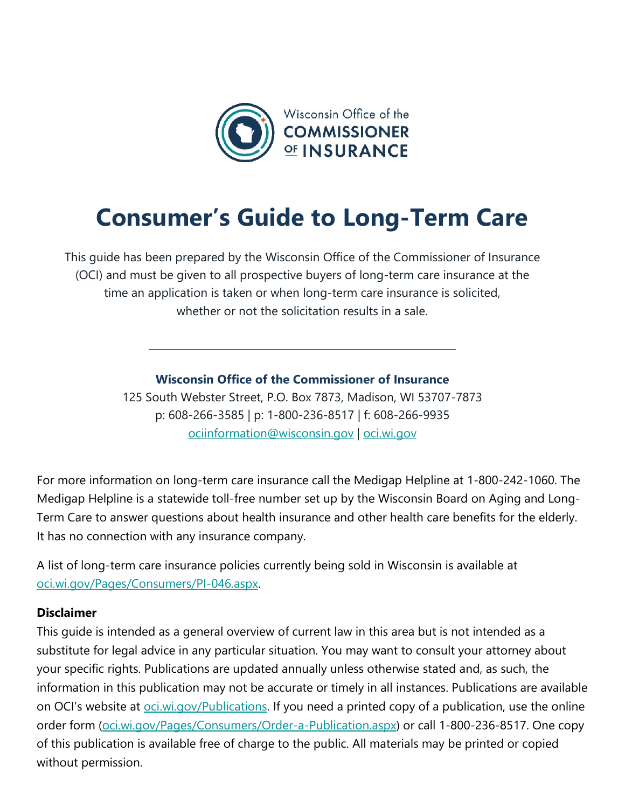

# **Consumer's Guide to Long-Term Care**

This guide has been prepared by the Wisconsin Office of the Commissioner of Insurance (OCI) and must be given to all prospective buyers of long-term care insurance at the time an application is taken or when long-term care insurance is solicited, whether or not the solicitation results in a sale.

**Wisconsin Office of the Commissioner of Insurance**

125 South Webster Street, P.O. Box 7873, Madison, WI 53707-7873 p: 608-266-3585 | p: 1-800-236-8517 | f: 608-266-9935 [ociinformation@wisconsin.gov](mailto:ociinformation@wisconsin.gov) | [oci.wi.gov](http://www.oci.wi.gov/)

For more information on long-term care insurance call the Medigap Helpline at 1-800-242-1060. The Medigap Helpline is a statewide toll-free number set up by the Wisconsin Board on Aging and Long-Term Care to answer questions about health insurance and other health care benefits for the elderly. It has no connection with any insurance company.

A list of long-term care insurance policies currently being sold in Wisconsin is available at [oci.wi.gov/Pages/Consumers/PI-046.aspx.](https://oci.wi.gov/Pages/Consumers/PI-046.aspx)

# **Disclaimer**

This guide is intended as a general overview of current law in this area but is not intended as a substitute for legal advice in any particular situation. You may want to consult your attorney about your specific rights. Publications are updated annually unless otherwise stated and, as such, the information in this publication may not be accurate or timely in all instances. Publications are available on OCI's website at *oci.wi.gov/Publications*. If you need a printed copy of a publication, use the online order form [\(oci.wi.gov/Pages/Consumers/Order-a-Publication.aspx\)](https://oci.wi.gov/Pages/Consumers/Order-a-Publication.aspx) or call 1-800-236-8517. One copy of this publication is available free of charge to the public. All materials may be printed or copied without permission.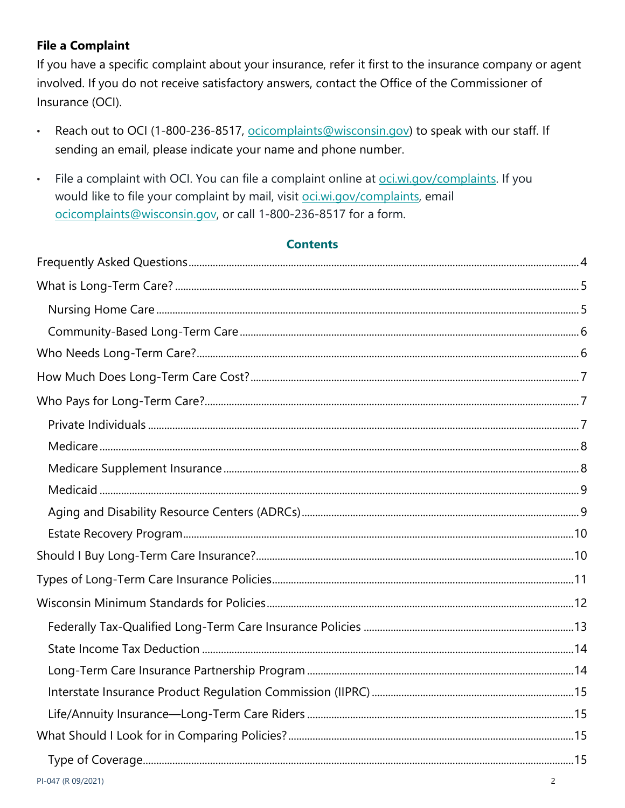# **File a Complaint**

If you have a specific complaint about your insurance, refer it first to the insurance company or agent involved. If you do not receive satisfactory answers, contact the Office of the Commissioner of Insurance (OCI).

- Reach out to OCI (1-800-236-8517, ocicomplaints@wisconsin.gov) to speak with our staff. If  $\bullet$ sending an email, please indicate your name and phone number.
- File a complaint with OCI. You can file a complaint online at oci.wi.gov/complaints. If you  $\bullet$ would like to file your complaint by mail, visit oci.wi.gov/complaints, email ocicomplaints@wisconsin.gov, or call 1-800-236-8517 for a form.

# **Contents**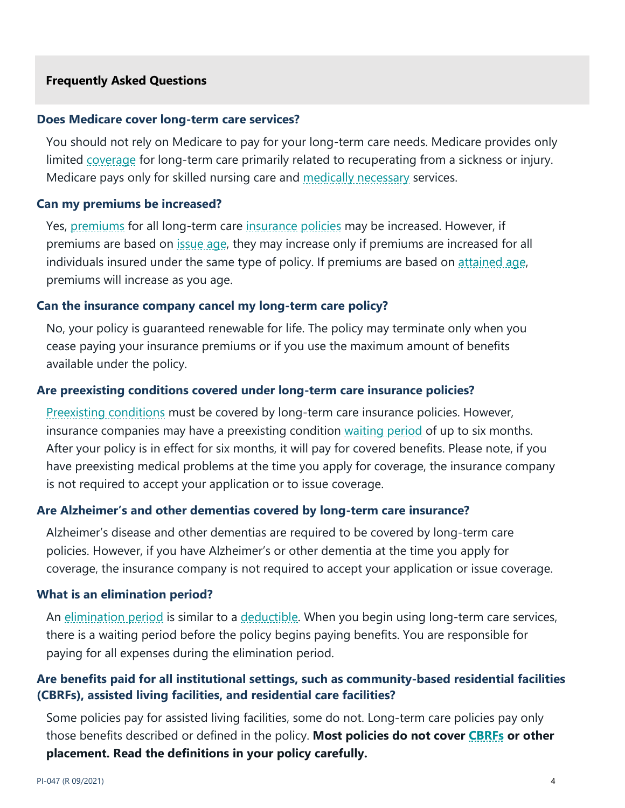#### <span id="page-3-0"></span>**Frequently Asked Questions**

# **Does Medicare cover long-term care services?**

You should not rely on Medicare to pay for your long-term care needs. Medicare provides only limited [coverage](https://oci.wi.gov/Pages/Consumers/Glossary.aspx#coverage) for long-term care primarily related to recuperating from a sickness or injury. Medicare pays only for skilled nursing care and [medically necessary](https://oci.wi.gov/Pages/Consumers/Glossary.aspx#medicallynecessary) services.

# **Can my premiums be increased?**

Yes, [premiums](https://oci.wi.gov/Pages/Consumers/Glossary.aspx#premium) for all long-term care [insurance](https://oci.wi.gov/Pages/Consumers/Glossary.aspx#insurance) [policies](https://oci.wi.gov/Pages/Consumers/Glossary.aspx#policy) may be increased. However, if premiums are based on [issue age,](https://oci.wi.gov/Pages/Consumers/Glossary.aspx#issueage) they may increase only if premiums are increased for all individuals insured under the same type of policy. If premiums are based on attained age, premiums will increase as you age.

# **Can the insurance company cancel my long-term care policy?**

No, your policy is guaranteed renewable for life. The policy may terminate only when you cease paying your insurance premiums or if you use the maximum amount of benefits available under the policy.

# **Are preexisting conditions covered under long-term care insurance policies?**

[Preexisting conditions](https://oci.wi.gov/Pages/Consumers/Glossary.aspx#preexistingcondition) must be covered by long-term care insurance policies. However, insurance companies may have a preexisting condition [waiting period](https://oci.wi.gov/Pages/Consumers/Glossary.aspx#waitingperiod) of up to six months. After your policy is in effect for six months, it will pay for covered benefits. Please note, if you have preexisting medical problems at the time you apply for coverage, the insurance company is not required to accept your application or to issue coverage.

# **Are Alzheimer's and other dementias covered by long-term care insurance?**

Alzheimer's disease and other dementias are required to be covered by long-term care policies. However, if you have Alzheimer's or other dementia at the time you apply for coverage, the insurance company is not required to accept your application or issue coverage.

#### **What is an elimination period?**

An [elimination period](https://oci.wi.gov/Pages/Consumers/Glossary.aspx#eliminationperiod) is similar to a [deductible.](https://oci.wi.gov/Pages/Consumers/Glossary.aspx#deductible) When you begin using long-term care services, there is a waiting period before the policy begins paying benefits. You are responsible for paying for all expenses during the elimination period.

# **Are benefits paid for all institutional settings, such as community-based residential facilities (CBRFs), assisted living facilities, and residential care facilities?**

Some policies pay for assisted living facilities, some do not. Long-term care policies pay only those benefits described or defined in the policy. **Most policies do not cover [CBRFs](https://oci.wi.gov/Pages/Consumers/Glossary.aspx#CBRF) or other placement. Read the definitions in your policy carefully.**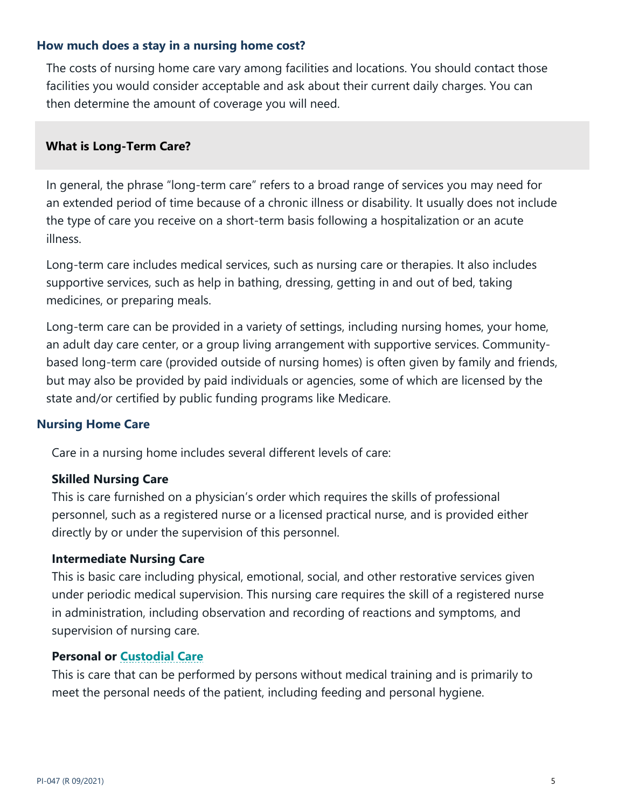# **How much does a stay in a nursing home cost?**

The costs of nursing home care vary among facilities and locations. You should contact those facilities you would consider acceptable and ask about their current daily charges. You can then determine the amount of coverage you will need.

# <span id="page-4-0"></span>**What is Long-Term Care?**

In general, the phrase "long-term care" refers to a broad range of services you may need for an extended period of time because of a chronic illness or disability. It usually does not include the type of care you receive on a short-term basis following a hospitalization or an acute illness.

Long-term care includes medical services, such as nursing care or therapies. It also includes supportive services, such as help in bathing, dressing, getting in and out of bed, taking medicines, or preparing meals.

Long-term care can be provided in a variety of settings, including nursing homes, your home, an adult day care center, or a group living arrangement with supportive services. Communitybased long-term care (provided outside of nursing homes) is often given by family and friends, but may also be provided by paid individuals or agencies, some of which are licensed by the state and/or certified by public funding programs like Medicare.

#### <span id="page-4-1"></span>**Nursing Home Care**

Care in a nursing home includes several different levels of care:

#### **Skilled Nursing Care**

This is care furnished on a physician's order which requires the skills of professional personnel, such as a registered nurse or a licensed practical nurse, and is provided either directly by or under the supervision of this personnel.

#### **Intermediate Nursing Care**

This is basic care including physical, emotional, social, and other restorative services given under periodic medical supervision. This nursing care requires the skill of a registered nurse in administration, including observation and recording of reactions and symptoms, and supervision of nursing care.

#### **Personal or [Custodial Care](https://oci.wi.gov/Pages/Consumers/Glossary.aspx#custodialcare)**

This is care that can be performed by persons without medical training and is primarily to meet the personal needs of the patient, including feeding and personal hygiene.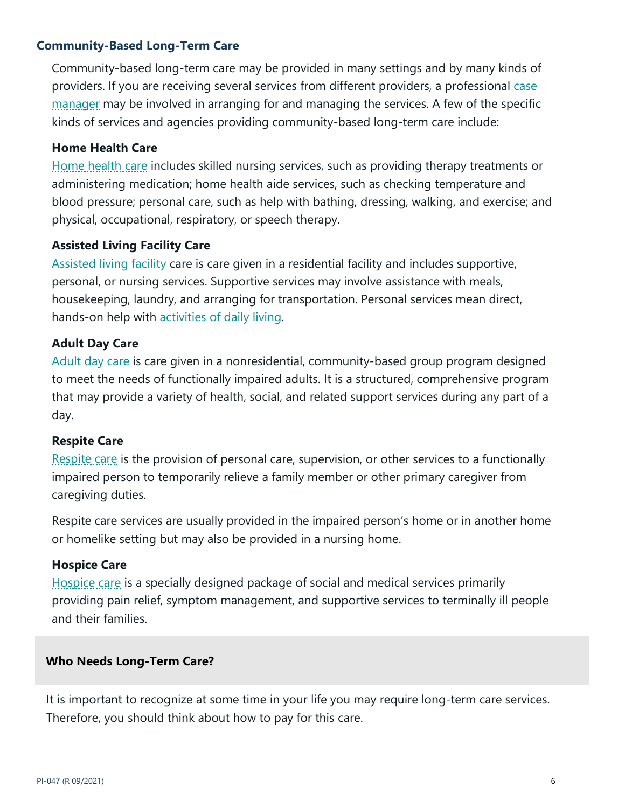# <span id="page-5-0"></span>**Community-Based Long-Term Care**

Community-based long-term care may be provided in many settings and by many kinds of providers. If you are receiving several services from different providers, a professional case [manager](https://oci.wi.gov/Pages/Consumers/Glossary.aspx#casemanagement) may be involved in arranging for and managing the services. A few of the specific kinds of services and agencies providing community-based long-term care include:

# **Home Health Care**

[Home health care](https://oci.wi.gov/Pages/Consumers/Glossary.aspx#homehealthcare) includes skilled nursing services, such as providing therapy treatments or administering medication; home health aide services, such as checking temperature and blood pressure; personal care, such as help with bathing, dressing, walking, and exercise; and physical, occupational, respiratory, or speech therapy.

# **Assisted Living Facility Care**

[Assisted living facility](https://oci.wi.gov/Pages/Consumers/Glossary.aspx#assistedlivingfacility) care is care given in a residential facility and includes supportive, personal, or nursing services. Supportive services may involve assistance with meals, housekeeping, laundry, and arranging for transportation. Personal services mean direct, hands-on help with [activities of daily living.](https://oci.wi.gov/Pages/Consumers/Glossary.aspx#ADLs)

# **Adult Day Care**

[Adult day](https://oci.wi.gov/Pages/Consumers/Glossary.aspx#adultdaycare) care is care given in a nonresidential, community-based group program designed to meet the needs of functionally impaired adults. It is a structured, comprehensive program that may provide a variety of health, social, and related support services during any part of a day.

#### **Respite Care**

[Respite care](https://oci.wi.gov/Pages/Consumers/Glossary.aspx#respitecare) is the provision of personal care, supervision, or other services to a functionally impaired person to temporarily relieve a family member or other primary caregiver from caregiving duties.

Respite care services are usually provided in the impaired person's home or in another home or homelike setting but may also be provided in a nursing home.

#### **Hospice Care**

[Hospice care](https://oci.wi.gov/Pages/Consumers/Glossary.aspx#hospicecare) is a specially designed package of social and medical services primarily providing pain relief, symptom management, and supportive services to terminally ill people and their families.

# <span id="page-5-1"></span>**Who Needs Long-Term Care?**

It is important to recognize at some time in your life you may require long-term care services. Therefore, you should think about how to pay for this care.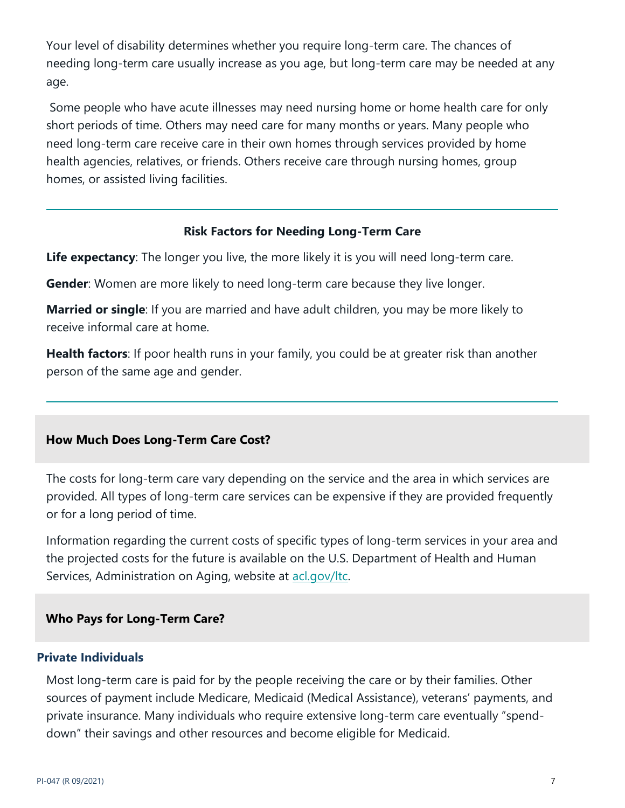Your level of disability determines whether you require long-term care. The chances of needing long-term care usually increase as you age, but long-term care may be needed at any age.

Some people who have acute illnesses may need nursing home or home health care for only short periods of time. Others may need care for many months or years. Many people who need long-term care receive care in their own homes through services provided by home health agencies, relatives, or friends. Others receive care through nursing homes, group homes, or assisted living facilities.

# **Risk Factors for Needing Long-Term Care**

**Life expectancy**: The longer you live, the more likely it is you will need long-term care.

**Gender**: Women are more likely to need long-term care because they live longer.

**Married or single**: If you are married and have adult children, you may be more likely to receive informal care at home.

**Health factors**: If poor health runs in your family, you could be at greater risk than another person of the same age and gender.

# <span id="page-6-0"></span>**How Much Does Long-Term Care Cost?**

The costs for long-term care vary depending on the service and the area in which services are provided. All types of long-term care services can be expensive if they are provided frequently or for a long period of time.

Information regarding the current costs of specific types of long-term services in your area and the projected costs for the future is available on the U.S. Department of Health and Human Services, Administration on Aging, website at [acl.gov/ltc.](https://acl.gov/ltc)

# <span id="page-6-1"></span>**Who Pays for Long-Term Care?**

#### <span id="page-6-2"></span>**Private Individuals**

Most long-term care is paid for by the people receiving the care or by their families. Other sources of payment include Medicare, Medicaid (Medical Assistance), veterans' payments, and private insurance. Many individuals who require extensive long-term care eventually "spenddown" their savings and other resources and become eligible for Medicaid.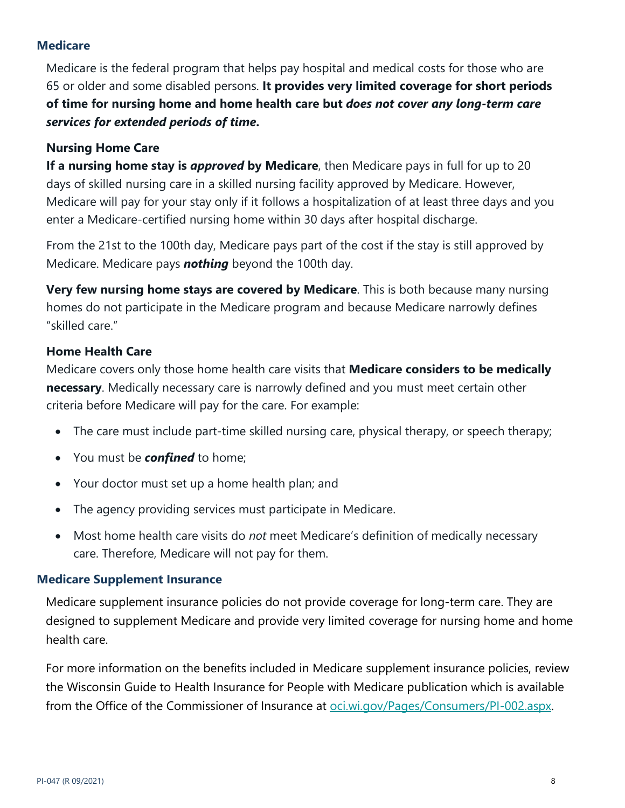# <span id="page-7-0"></span>**Medicare**

Medicare is the federal program that helps pay hospital and medical costs for those who are 65 or older and some disabled persons. **It provides very limited coverage for short periods of time for nursing home and home health care but** *does not cover any long-term care services for extended periods of time***.**

# **Nursing Home Care**

**If a nursing home stay is** *approved* **by Medicare**, then Medicare pays in full for up to 20 days of skilled nursing care in a skilled nursing facility approved by Medicare. However, Medicare will pay for your stay only if it follows a hospitalization of at least three days and you enter a Medicare-certified nursing home within 30 days after hospital discharge.

From the 21st to the 100th day, Medicare pays part of the cost if the stay is still approved by Medicare. Medicare pays *nothing* beyond the 100th day.

**Very few nursing home stays are covered by Medicare**. This is both because many nursing homes do not participate in the Medicare program and because Medicare narrowly defines "skilled care."

# **Home Health Care**

Medicare covers only those home health care visits that **Medicare considers to be medically necessary**. Medically necessary care is narrowly defined and you must meet certain other criteria before Medicare will pay for the care. For example:

- The care must include part-time skilled nursing care, physical therapy, or speech therapy;
- You must be *confined* to home;
- Your doctor must set up a home health plan; and
- The agency providing services must participate in Medicare.
- Most home health care visits do *not* meet Medicare's definition of medically necessary care. Therefore, Medicare will not pay for them.

#### <span id="page-7-1"></span>**Medicare Supplement Insurance**

Medicare supplement insurance policies do not provide coverage for long-term care. They are designed to supplement Medicare and provide very limited coverage for nursing home and home health care.

For more information on the benefits included in Medicare supplement insurance policies, review the Wisconsin Guide to Health Insurance for People with Medicare publication which is available from the Office of the Commissioner of Insurance at <u>oci.wi.gov/Pages/Consumers/PI-002.aspx</u>.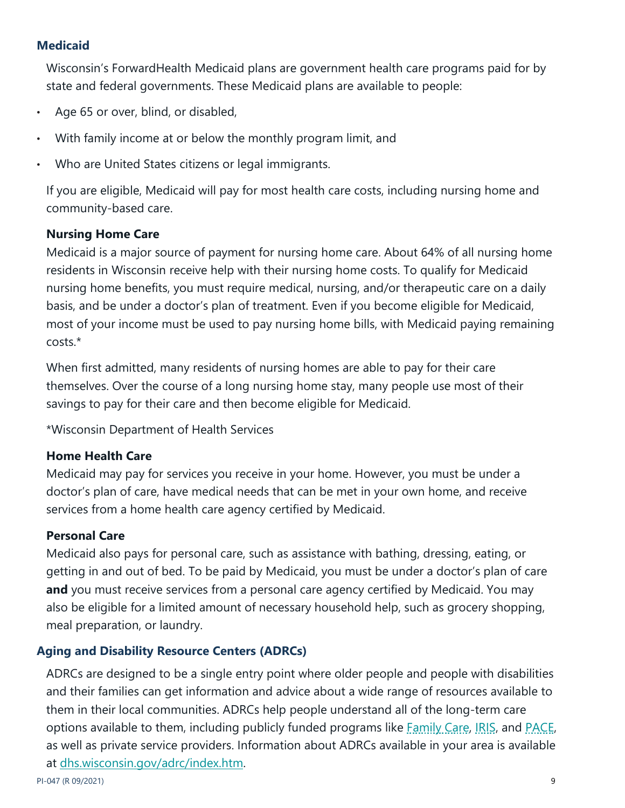# <span id="page-8-0"></span>**Medicaid**

Wisconsin's ForwardHealth Medicaid plans are government health care programs paid for by state and federal governments. These Medicaid plans are available to people:

- Age 65 or over, blind, or disabled,
- With family income at or below the monthly program limit, and
- Who are United States citizens or legal immigrants.

If you are eligible, Medicaid will pay for most health care costs, including nursing home and community-based care.

# **Nursing Home Care**

Medicaid is a major source of payment for nursing home care. About 64% of all nursing home residents in Wisconsin receive help with their nursing home costs. To qualify for Medicaid nursing home benefits, you must require medical, nursing, and/or therapeutic care on a daily basis, and be under a doctor's plan of treatment. Even if you become eligible for Medicaid, most of your income must be used to pay nursing home bills, with Medicaid paying remaining costs.\*

When first admitted, many residents of nursing homes are able to pay for their care themselves. Over the course of a long nursing home stay, many people use most of their savings to pay for their care and then become eligible for Medicaid.

\*Wisconsin Department of Health Services

#### **Home Health Care**

Medicaid may pay for services you receive in your home. However, you must be under a doctor's plan of care, have medical needs that can be met in your own home, and receive services from a home health care agency certified by Medicaid.

#### **Personal Care**

Medicaid also pays for personal care, such as assistance with bathing, dressing, eating, or getting in and out of bed. To be paid by Medicaid, you must be under a doctor's plan of care **and** you must receive services from a personal care agency certified by Medicaid. You may also be eligible for a limited amount of necessary household help, such as grocery shopping, meal preparation, or laundry.

# <span id="page-8-1"></span>**Aging and Disability Resource Centers (ADRCs)**

ADRCs are designed to be a single entry point where older people and people with disabilities and their families can get information and advice about a wide range of resources available to them in their local communities. ADRCs help people understand all of the long-term care options available to them, including publicly funded programs like [Family Care,](https://oci.wi.gov/Pages/Consumers/Glossary.aspx#familycare) [IRIS,](https://oci.wi.gov/Pages/Consumers/Glossary.aspx#IRIS) and [PACE,](https://oci.wi.gov/Pages/Consumers/Glossary.aspx#PACE) as well as private service providers. Information about ADRCs available in your area is available at [dhs.wisconsin.gov/adrc/index.htm.](http://www.dhs.wisconsin.gov/adrc/index.htm)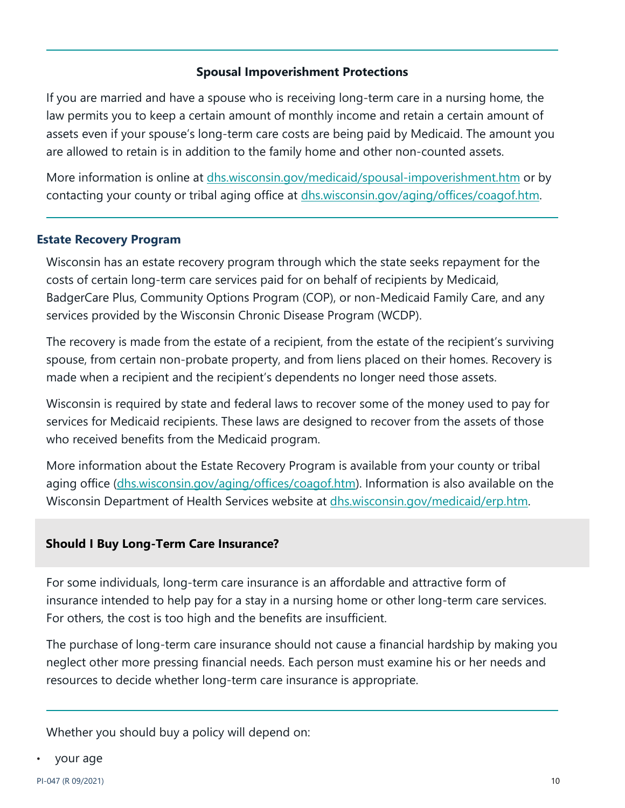# **Spousal Impoverishment Protections**

If you are married and have a spouse who is receiving long-term care in a nursing home, the law permits you to keep a certain amount of monthly income and retain a certain amount of assets even if your spouse's long-term care costs are being paid by Medicaid. The amount you are allowed to retain is in addition to the family home and other non-counted assets.

More information is online at *dhs.wisconsin.gov/medicaid/spousal-impoverishment.htm* or by contacting your county or tribal aging office at [dhs.wisconsin.gov/aging/offices/coagof.htm.](https://www.dhs.wisconsin.gov/aging/offices/coagof.htm)

# <span id="page-9-0"></span>**Estate Recovery Program**

Wisconsin has an estate recovery program through which the state seeks repayment for the costs of certain long-term care services paid for on behalf of recipients by Medicaid, BadgerCare Plus, Community Options Program (COP), or non-Medicaid Family Care, and any services provided by the Wisconsin Chronic Disease Program (WCDP).

The recovery is made from the estate of a recipient, from the estate of the recipient's surviving spouse, from certain non-probate property, and from liens placed on their homes. Recovery is made when a recipient and the recipient's dependents no longer need those assets.

Wisconsin is required by state and federal laws to recover some of the money used to pay for services for Medicaid recipients. These laws are designed to recover from the assets of those who received benefits from the Medicaid program.

More information about the Estate Recovery Program is available from your county or tribal aging office [\(dhs.wisconsin.gov/aging/offices/coagof.htm\)](http://www.dhs.wisconsin.gov/aging/offices/coagof.htm). Information is also available on the Wisconsin Department of Health Services website at *dhs.wisconsin.gov/medicaid/erp.htm.* 

# <span id="page-9-1"></span>**Should I Buy Long-Term Care Insurance?**

For some individuals, long-term care insurance is an affordable and attractive form of insurance intended to help pay for a stay in a nursing home or other long-term care services. For others, the cost is too high and the benefits are insufficient.

The purchase of long-term care insurance should not cause a financial hardship by making you neglect other more pressing financial needs. Each person must examine his or her needs and resources to decide whether long-term care insurance is appropriate.

Whether you should buy a policy will depend on:

• your age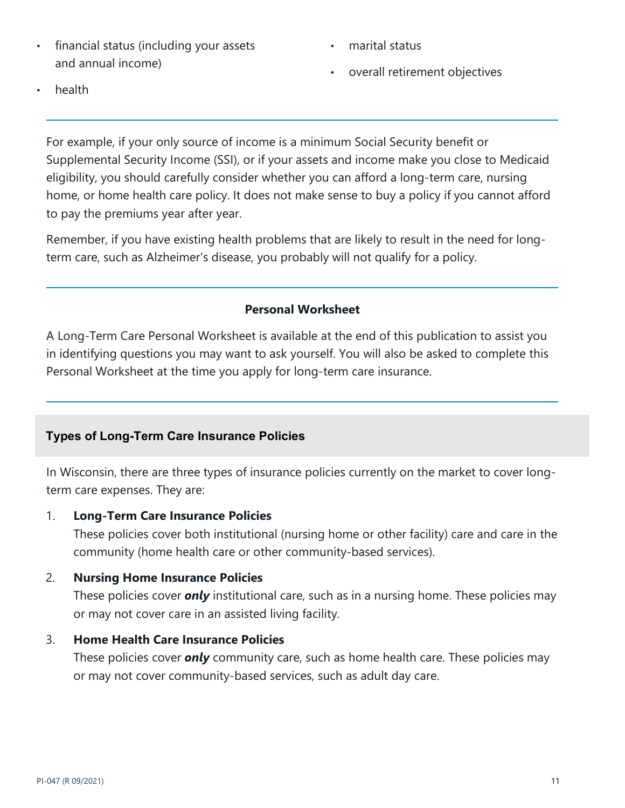- financial status (including your assets and annual income)
- marital status
- overall retirement objectives

• health

For example, if your only source of income is a minimum Social Security benefit or Supplemental Security Income (SSI), or if your assets and income make you close to Medicaid eligibility, you should carefully consider whether you can afford a long-term care, nursing home, or home health care policy. It does not make sense to buy a policy if you cannot afford to pay the premiums year after year.

Remember, if you have existing health problems that are likely to result in the need for longterm care, such as Alzheimer's disease, you probably will not qualify for a policy.

# **Personal Worksheet**

A Long-Term Care Personal Worksheet is available at the end of this publication to assist you in identifying questions you may want to ask yourself. You will also be asked to complete this Personal Worksheet at the time you apply for long-term care insurance.

# <span id="page-10-0"></span>**Types of Long-Term Care Insurance Policies**

In Wisconsin, there are three types of insurance policies currently on the market to cover longterm care expenses. They are:

# 1. **Long-Term Care Insurance Policies**

These policies cover both institutional (nursing home or other facility) care and care in the community (home health care or other community-based services).

# 2. **Nursing Home Insurance Policies**

These policies cover *only* institutional care, such as in a nursing home. These policies may or may not cover care in an assisted living facility.

# 3. **Home Health Care Insurance Policies**

These policies cover *only* community care, such as home health care. These policies may or may not cover community-based services, such as adult day care.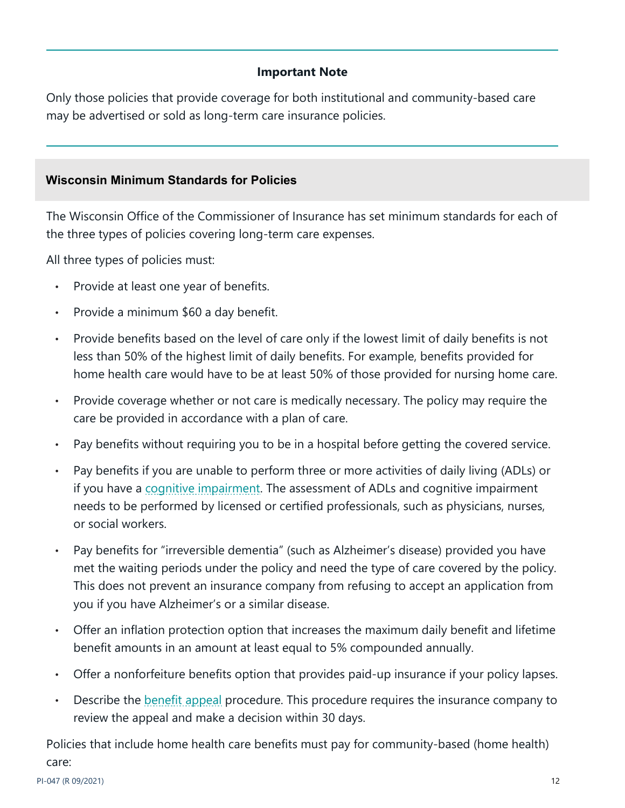# **Important Note**

Only those policies that provide coverage for both institutional and community-based care may be advertised or sold as long-term care insurance policies.

# <span id="page-11-0"></span>**Wisconsin Minimum Standards for Policies**

The Wisconsin Office of the Commissioner of Insurance has set minimum standards for each of the three types of policies covering long-term care expenses.

All three types of policies must:

- Provide at least one year of benefits.
- Provide a minimum \$60 a day benefit.
- Provide benefits based on the level of care only if the lowest limit of daily benefits is not less than 50% of the highest limit of daily benefits. For example, benefits provided for home health care would have to be at least 50% of those provided for nursing home care.
- Provide coverage whether or not care is medically necessary. The policy may require the care be provided in accordance with a plan of care.
- Pay benefits without requiring you to be in a hospital before getting the covered service.
- Pay benefits if you are unable to perform three or more activities of daily living (ADLs) or if you have a [cognitive impairment.](https://oci.wi.gov/Pages/Consumers/Glossary.aspx#cognitiveimpairment) The assessment of ADLs and cognitive impairment needs to be performed by licensed or certified professionals, such as physicians, nurses, or social workers.
- Pay benefits for "irreversible dementia" (such as Alzheimer's disease) provided you have met the waiting periods under the policy and need the type of care covered by the policy. This does not prevent an insurance company from refusing to accept an application from you if you have Alzheimer's or a similar disease.
- Offer an inflation protection option that increases the maximum daily benefit and lifetime benefit amounts in an amount at least equal to 5% compounded annually.
- Offer a nonforfeiture benefits option that provides paid-up insurance if your policy lapses.
- Describe the **benefit appeal** procedure. This procedure requires the insurance company to review the appeal and make a decision within 30 days.

Policies that include home health care benefits must pay for community-based (home health) care: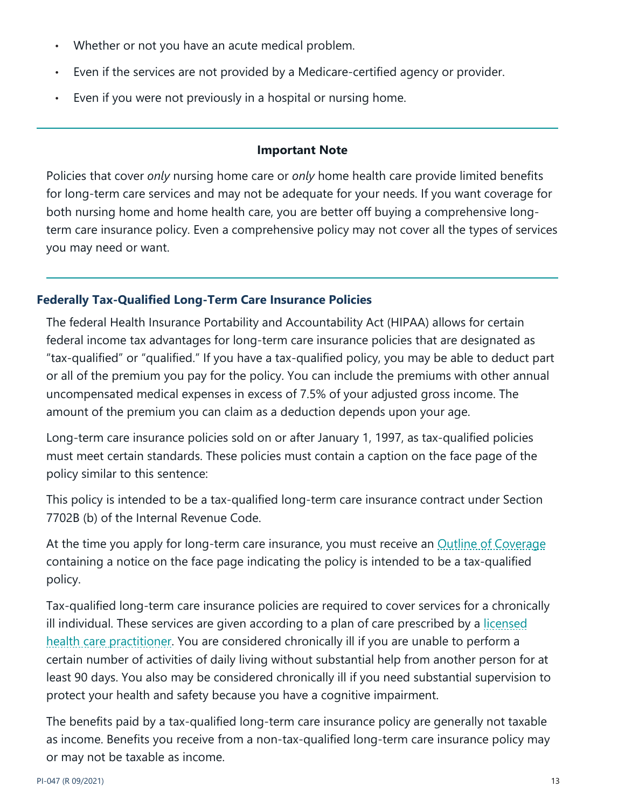- Whether or not you have an acute medical problem.
- Even if the services are not provided by a Medicare-certified agency or provider.
- Even if you were not previously in a hospital or nursing home.

#### **Important Note**

Policies that cover *only* nursing home care or *only* home health care provide limited benefits for long-term care services and may not be adequate for your needs. If you want coverage for both nursing home and home health care, you are better off buying a comprehensive longterm care insurance policy. Even a comprehensive policy may not cover all the types of services you may need or want.

# <span id="page-12-0"></span>**Federally Tax-Qualified Long-Term Care Insurance Policies**

The federal Health Insurance Portability and Accountability Act (HIPAA) allows for certain federal income tax advantages for long-term care insurance policies that are designated as "tax-qualified" or "qualified." If you have a tax-qualified policy, you may be able to deduct part or all of the premium you pay for the policy. You can include the premiums with other annual uncompensated medical expenses in excess of 7.5% of your adjusted gross income. The amount of the premium you can claim as a deduction depends upon your age.

Long-term care insurance policies sold on or after January 1, 1997, as tax-qualified policies must meet certain standards. These policies must contain a caption on the face page of the policy similar to this sentence:

This policy is intended to be a tax-qualified long-term care insurance contract under Section 7702B (b) of the Internal Revenue Code.

At the time you apply for long-term care insurance, you must receive an [Outline of Coverage](https://oci.wi.gov/Pages/Consumers/Glossary.aspx#outlineofcoverage) containing a notice on the face page indicating the policy is intended to be a tax-qualified policy.

Tax-qualified long-term care insurance policies are required to cover services for a chronically ill individual. These services are given according to a plan of care prescribed by a [licensed](https://oci.wi.gov/Pages/Consumers/Glossary.aspx#licensedhealthcarepractitioner)  [health care practitioner.](https://oci.wi.gov/Pages/Consumers/Glossary.aspx#licensedhealthcarepractitioner) You are considered chronically ill if you are unable to perform a certain number of activities of daily living without substantial help from another person for at least 90 days. You also may be considered chronically ill if you need substantial supervision to protect your health and safety because you have a cognitive impairment.

The benefits paid by a tax-qualified long-term care insurance policy are generally not taxable as income. Benefits you receive from a non-tax-qualified long-term care insurance policy may or may not be taxable as income.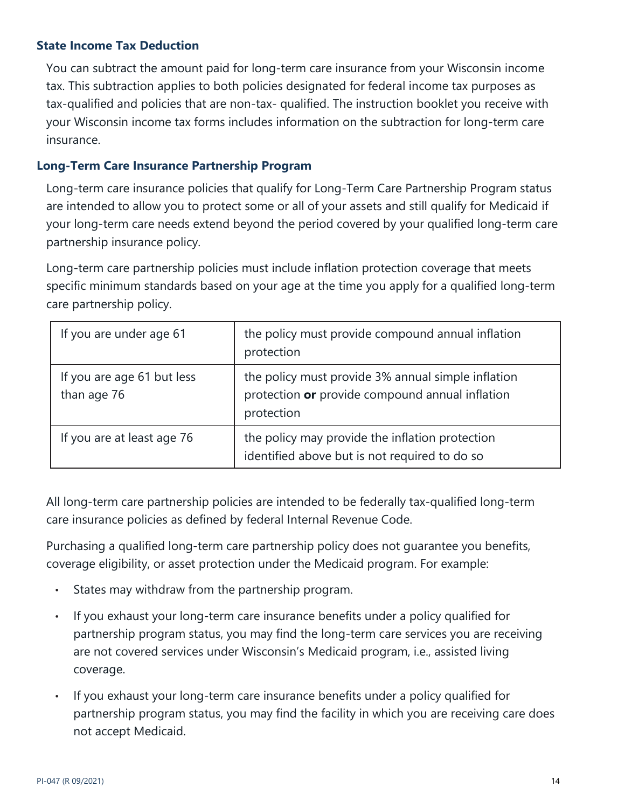# <span id="page-13-0"></span>**State Income Tax Deduction**

You can subtract the amount paid for long-term care insurance from your Wisconsin income tax. This subtraction applies to both policies designated for federal income tax purposes as tax-qualified and policies that are non-tax- qualified. The instruction booklet you receive with your Wisconsin income tax forms includes information on the subtraction for long-term care insurance.

#### <span id="page-13-1"></span>**Long-Term Care Insurance Partnership Program**

Long-term care insurance policies that qualify for Long-Term Care Partnership Program status are intended to allow you to protect some or all of your assets and still qualify for Medicaid if your long-term care needs extend beyond the period covered by your qualified long-term care partnership insurance policy.

Long-term care partnership policies must include inflation protection coverage that meets specific minimum standards based on your age at the time you apply for a qualified long-term care partnership policy.

| If you are under age 61                   | the policy must provide compound annual inflation<br>protection                                                     |
|-------------------------------------------|---------------------------------------------------------------------------------------------------------------------|
| If you are age 61 but less<br>than age 76 | the policy must provide 3% annual simple inflation<br>protection or provide compound annual inflation<br>protection |
| If you are at least age 76                | the policy may provide the inflation protection<br>identified above but is not required to do so                    |

All long-term care partnership policies are intended to be federally tax-qualified long-term care insurance policies as defined by federal Internal Revenue Code.

Purchasing a qualified long-term care partnership policy does not guarantee you benefits, coverage eligibility, or asset protection under the Medicaid program. For example:

- States may withdraw from the partnership program.
- If you exhaust your long-term care insurance benefits under a policy qualified for partnership program status, you may find the long-term care services you are receiving are not covered services under Wisconsin's Medicaid program, i.e., assisted living coverage.
- If you exhaust your long-term care insurance benefits under a policy qualified for partnership program status, you may find the facility in which you are receiving care does not accept Medicaid.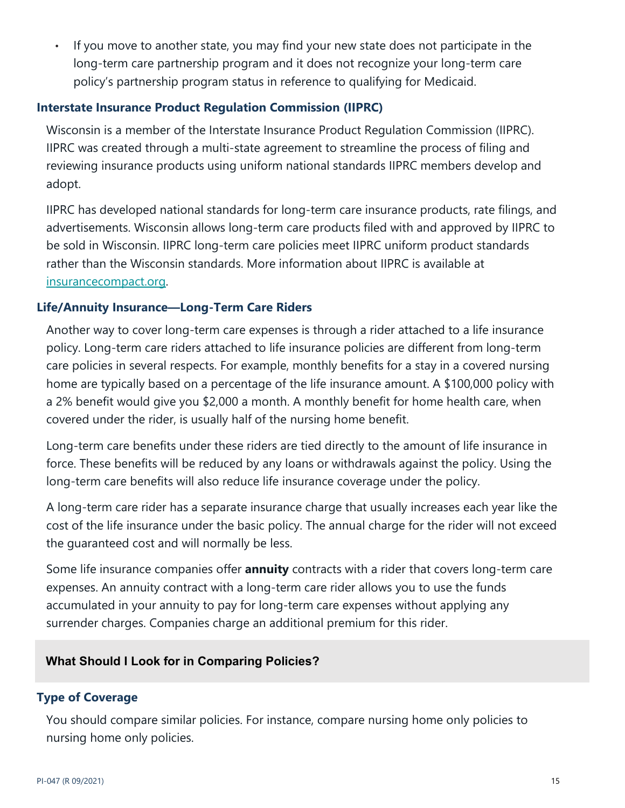• If you move to another state, you may find your new state does not participate in the long-term care partnership program and it does not recognize your long-term care policy's partnership program status in reference to qualifying for Medicaid.

# <span id="page-14-0"></span>**Interstate Insurance Product Regulation Commission (IIPRC)**

Wisconsin is a member of the Interstate Insurance Product Regulation Commission (IIPRC). IIPRC was created through a multi-state agreement to streamline the process of filing and reviewing insurance products using uniform national standards IIPRC members develop and adopt.

IIPRC has developed national standards for long-term care insurance products, rate filings, and advertisements. Wisconsin allows long-term care products filed with and approved by IIPRC to be sold in Wisconsin. IIPRC long-term care policies meet IIPRC uniform product standards rather than the Wisconsin standards. More information about IIPRC is available at [insurancecompact.org.](http://www.insurancecompact.org/)

# <span id="page-14-1"></span>**Life/Annuity Insurance—Long-Term Care Riders**

Another way to cover long-term care expenses is through a rider attached to a life insurance policy. Long-term care riders attached to life insurance policies are different from long-term care policies in several respects. For example, monthly benefits for a stay in a covered nursing home are typically based on a percentage of the life insurance amount. A \$100,000 policy with a 2% benefit would give you \$2,000 a month. A monthly benefit for home health care, when covered under the rider, is usually half of the nursing home benefit.

Long-term care benefits under these riders are tied directly to the amount of life insurance in force. These benefits will be reduced by any loans or withdrawals against the policy. Using the long-term care benefits will also reduce life insurance coverage under the policy.

A long-term care rider has a separate insurance charge that usually increases each year like the cost of the life insurance under the basic policy. The annual charge for the rider will not exceed the guaranteed cost and will normally be less.

Some life insurance companies offer **annuity** contracts with a rider that covers long-term care expenses. An annuity contract with a long-term care rider allows you to use the funds accumulated in your annuity to pay for long-term care expenses without applying any surrender charges. Companies charge an additional premium for this rider.

# <span id="page-14-2"></span>**What Should I Look for in Comparing Policies?**

#### <span id="page-14-3"></span>**Type of Coverage**

You should compare similar policies. For instance, compare nursing home only policies to nursing home only policies.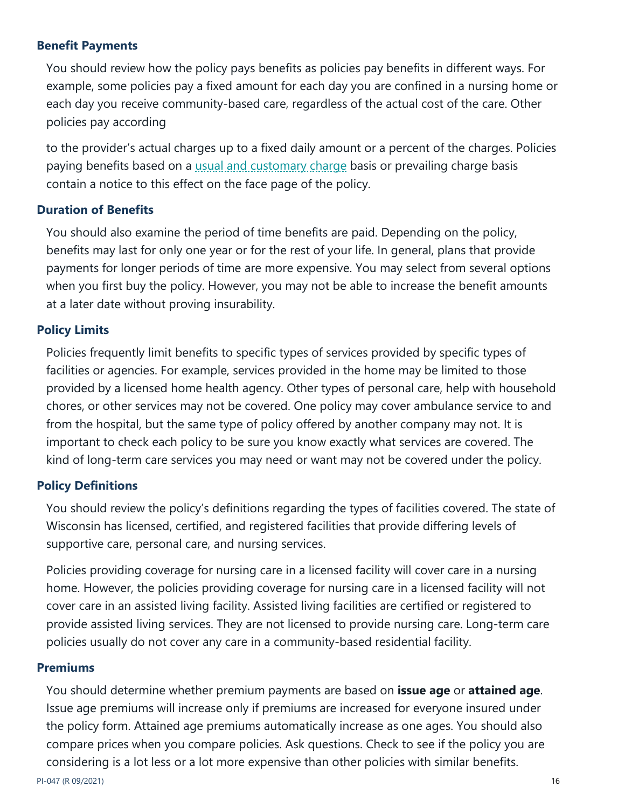# <span id="page-15-0"></span>**Benefit Payments**

You should review how the policy pays benefits as policies pay benefits in different ways. For example, some policies pay a fixed amount for each day you are confined in a nursing home or each day you receive community-based care, regardless of the actual cost of the care. Other policies pay according

to the provider's actual charges up to a fixed daily amount or a percent of the charges. Policies paying benefits based on a [usual and customary](https://oci.wi.gov/Pages/Consumers/Glossary.aspx#usualandcustomarycharge) charge basis or prevailing charge basis contain a notice to this effect on the face page of the policy.

# <span id="page-15-1"></span>**Duration of Benefits**

You should also examine the period of time benefits are paid. Depending on the policy, benefits may last for only one year or for the rest of your life. In general, plans that provide payments for longer periods of time are more expensive. You may select from several options when you first buy the policy. However, you may not be able to increase the benefit amounts at a later date without proving insurability.

# <span id="page-15-2"></span>**Policy Limits**

Policies frequently limit benefits to specific types of services provided by specific types of facilities or agencies. For example, services provided in the home may be limited to those provided by a licensed home health agency. Other types of personal care, help with household chores, or other services may not be covered. One policy may cover ambulance service to and from the hospital, but the same type of policy offered by another company may not. It is important to check each policy to be sure you know exactly what services are covered. The kind of long-term care services you may need or want may not be covered under the policy.

#### <span id="page-15-3"></span>**Policy Definitions**

You should review the policy's definitions regarding the types of facilities covered. The state of Wisconsin has licensed, certified, and registered facilities that provide differing levels of supportive care, personal care, and nursing services.

Policies providing coverage for nursing care in a licensed facility will cover care in a nursing home. However, the policies providing coverage for nursing care in a licensed facility will not cover care in an assisted living facility. Assisted living facilities are certified or registered to provide assisted living services. They are not licensed to provide nursing care. Long-term care policies usually do not cover any care in a community-based residential facility.

#### <span id="page-15-4"></span>**Premiums**

You should determine whether premium payments are based on **issue age** or **attained age**. Issue age premiums will increase only if premiums are increased for everyone insured under the policy form. Attained age premiums automatically increase as one ages. You should also compare prices when you compare policies. Ask questions. Check to see if the policy you are considering is a lot less or a lot more expensive than other policies with similar benefits.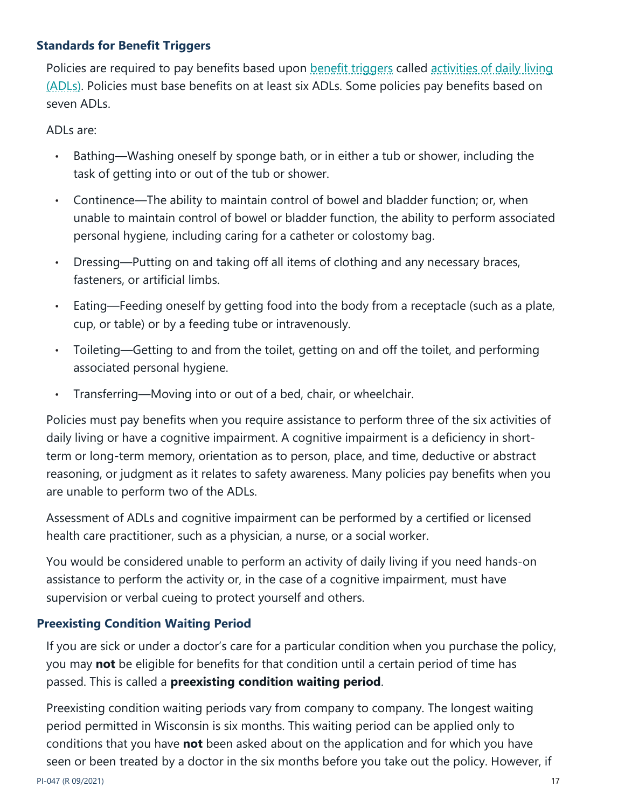# <span id="page-16-0"></span>**Standards for Benefit Triggers**

Policies are required to pay benefits based upon [benefit triggers](https://oci.wi.gov/Pages/Consumers/Glossary.aspx#benefittriggers) called activities of daily living [\(ADLs\).](https://oci.wi.gov/Pages/Consumers/Glossary.aspx#ADLs) Policies must base benefits on at least six ADLs. Some policies pay benefits based on seven ADLs.

ADLs are:

- Bathing—Washing oneself by sponge bath, or in either a tub or shower, including the task of getting into or out of the tub or shower.
- Continence—The ability to maintain control of bowel and bladder function; or, when unable to maintain control of bowel or bladder function, the ability to perform associated personal hygiene, including caring for a catheter or colostomy bag.
- Dressing—Putting on and taking off all items of clothing and any necessary braces, fasteners, or artificial limbs.
- Eating—Feeding oneself by getting food into the body from a receptacle (such as a plate, cup, or table) or by a feeding tube or intravenously.
- Toileting—Getting to and from the toilet, getting on and off the toilet, and performing associated personal hygiene.
- Transferring—Moving into or out of a bed, chair, or wheelchair.

Policies must pay benefits when you require assistance to perform three of the six activities of daily living or have a cognitive impairment. A cognitive impairment is a deficiency in shortterm or long-term memory, orientation as to person, place, and time, deductive or abstract reasoning, or judgment as it relates to safety awareness. Many policies pay benefits when you are unable to perform two of the ADLs.

Assessment of ADLs and cognitive impairment can be performed by a certified or licensed health care practitioner, such as a physician, a nurse, or a social worker.

You would be considered unable to perform an activity of daily living if you need hands-on assistance to perform the activity or, in the case of a cognitive impairment, must have supervision or verbal cueing to protect yourself and others.

# <span id="page-16-1"></span>**Preexisting Condition Waiting Period**

If you are sick or under a doctor's care for a particular condition when you purchase the policy, you may **not** be eligible for benefits for that condition until a certain period of time has passed. This is called a **preexisting condition waiting period**.

Preexisting condition waiting periods vary from company to company. The longest waiting period permitted in Wisconsin is six months. This waiting period can be applied only to conditions that you have **not** been asked about on the application and for which you have seen or been treated by a doctor in the six months before you take out the policy. However, if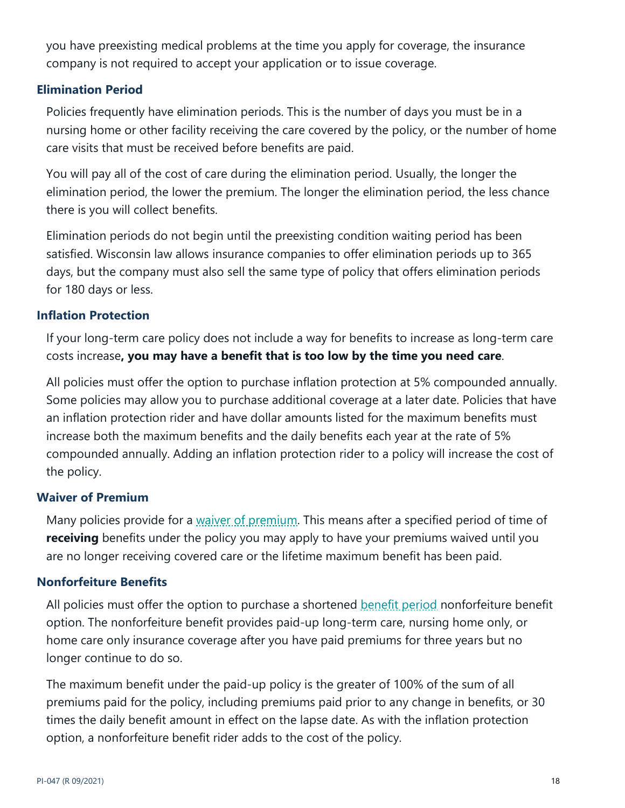you have preexisting medical problems at the time you apply for coverage, the insurance company is not required to accept your application or to issue coverage.

# <span id="page-17-0"></span>**Elimination Period**

Policies frequently have elimination periods. This is the number of days you must be in a nursing home or other facility receiving the care covered by the policy, or the number of home care visits that must be received before benefits are paid.

You will pay all of the cost of care during the elimination period. Usually, the longer the elimination period, the lower the premium. The longer the elimination period, the less chance there is you will collect benefits.

Elimination periods do not begin until the preexisting condition waiting period has been satisfied. Wisconsin law allows insurance companies to offer elimination periods up to 365 days, but the company must also sell the same type of policy that offers elimination periods for 180 days or less.

# <span id="page-17-1"></span>**Inflation Protection**

If your long-term care policy does not include a way for benefits to increase as long-term care costs increase**, you may have a benefit that is too low by the time you need care**.

All policies must offer the option to purchase inflation protection at 5% compounded annually. Some policies may allow you to purchase additional coverage at a later date. Policies that have an inflation protection rider and have dollar amounts listed for the maximum benefits must increase both the maximum benefits and the daily benefits each year at the rate of 5% compounded annually. Adding an inflation protection rider to a policy will increase the cost of the policy.

#### <span id="page-17-2"></span>**Waiver of Premium**

Many policies provide for a [waiver of premium.](https://oci.wi.gov/Pages/Consumers/Glossary.aspx#waiverofpremium) This means after a specified period of time of **receiving** benefits under the policy you may apply to have your premiums waived until you are no longer receiving covered care or the lifetime maximum benefit has been paid.

#### <span id="page-17-3"></span>**Nonforfeiture Benefits**

All policies must offer the option to purchase a shortened [benefit period](https://oci.wi.gov/Pages/Consumers/Glossary.aspx#benefitperiod) nonforfeiture benefit option. The nonforfeiture benefit provides paid-up long-term care, nursing home only, or home care only insurance coverage after you have paid premiums for three years but no longer continue to do so.

The maximum benefit under the paid-up policy is the greater of 100% of the sum of all premiums paid for the policy, including premiums paid prior to any change in benefits, or 30 times the daily benefit amount in effect on the lapse date. As with the inflation protection option, a nonforfeiture benefit rider adds to the cost of the policy.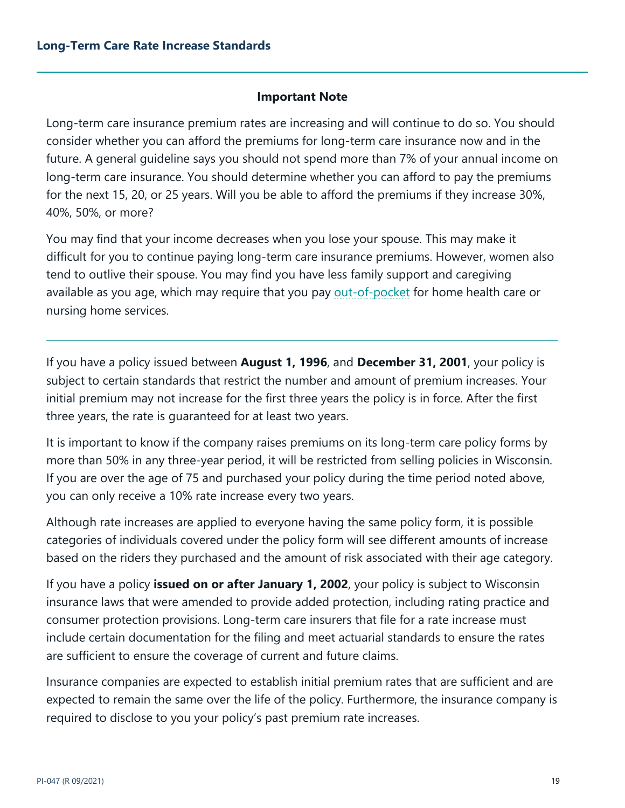# **Important Note**

<span id="page-18-0"></span>Long-term care insurance premium rates are increasing and will continue to do so. You should consider whether you can afford the premiums for long-term care insurance now and in the future. A general guideline says you should not spend more than 7% of your annual income on long-term care insurance. You should determine whether you can afford to pay the premiums for the next 15, 20, or 25 years. Will you be able to afford the premiums if they increase 30%, 40%, 50%, or more?

You may find that your income decreases when you lose your spouse. This may make it difficult for you to continue paying long-term care insurance premiums. However, women also tend to outlive their spouse. You may find you have less family support and caregiving available as you age, which may require that you pay [out-of-pocket](https://oci.wi.gov/Pages/Consumers/Glossary.aspx#outofpocketexpenses) for home health care or nursing home services.

If you have a policy issued between **August 1, 1996**, and **December 31, 2001**, your policy is subject to certain standards that restrict the number and amount of premium increases. Your initial premium may not increase for the first three years the policy is in force. After the first three years, the rate is guaranteed for at least two years.

It is important to know if the company raises premiums on its long-term care policy forms by more than 50% in any three-year period, it will be restricted from selling policies in Wisconsin. If you are over the age of 75 and purchased your policy during the time period noted above, you can only receive a 10% rate increase every two years.

Although rate increases are applied to everyone having the same policy form, it is possible categories of individuals covered under the policy form will see different amounts of increase based on the riders they purchased and the amount of risk associated with their age category.

If you have a policy **issued on or after January 1, 2002**, your policy is subject to Wisconsin insurance laws that were amended to provide added protection, including rating practice and consumer protection provisions. Long-term care insurers that file for a rate increase must include certain documentation for the filing and meet actuarial standards to ensure the rates are sufficient to ensure the coverage of current and future claims.

Insurance companies are expected to establish initial premium rates that are sufficient and are expected to remain the same over the life of the policy. Furthermore, the insurance company is required to disclose to you your policy's past premium rate increases.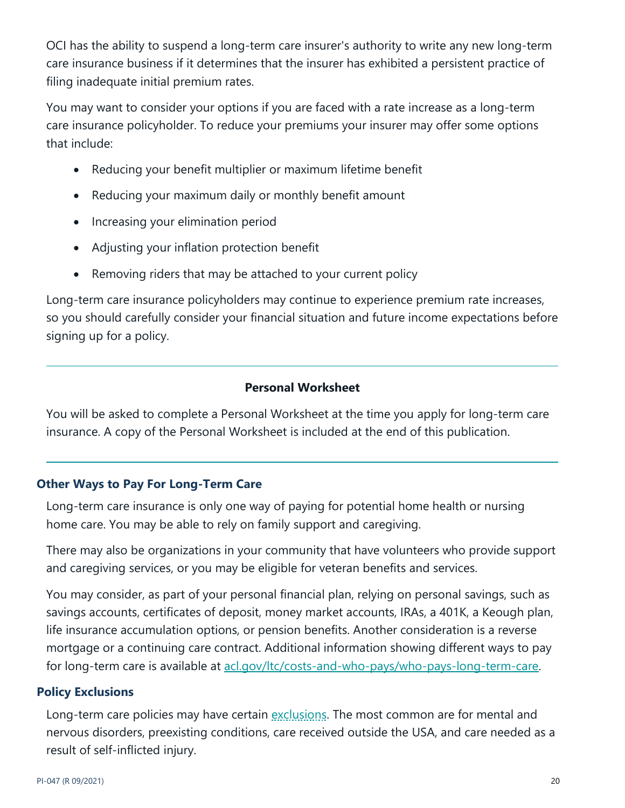OCI has the ability to suspend a long-term care insurer's authority to write any new long-term care insurance business if it determines that the insurer has exhibited a persistent practice of filing inadequate initial premium rates.

You may want to consider your options if you are faced with a rate increase as a long-term care insurance policyholder. To reduce your premiums your insurer may offer some options that include:

- Reducing your benefit multiplier or maximum lifetime benefit
- Reducing your maximum daily or monthly benefit amount
- Increasing your elimination period
- Adjusting your inflation protection benefit
- Removing riders that may be attached to your current policy

Long-term care insurance policyholders may continue to experience premium rate increases, so you should carefully consider your financial situation and future income expectations before signing up for a policy.

# **Personal Worksheet**

You will be asked to complete a Personal Worksheet at the time you apply for long-term care insurance. A copy of the Personal Worksheet is included at the end of this publication.

# <span id="page-19-0"></span>**Other Ways to Pay For Long-Term Care**

Long-term care insurance is only one way of paying for potential home health or nursing home care. You may be able to rely on family support and caregiving.

There may also be organizations in your community that have volunteers who provide support and caregiving services, or you may be eligible for veteran benefits and services.

You may consider, as part of your personal financial plan, relying on personal savings, such as savings accounts, certificates of deposit, money market accounts, IRAs, a 401K, a Keough plan, life insurance accumulation options, or pension benefits. Another consideration is a reverse mortgage or a continuing care contract. Additional information showing different ways to pay for long-term care is available at  $\frac{\text{acl}}{\text{acl}}$  and- $\frac{\text{cl}}{\text{cl}}$  and-who-pays/who-pays-long-term-care.

# <span id="page-19-1"></span>**Policy Exclusions**

Long-term care policies may have certain [exclusions.](https://oci.wi.gov/Pages/Consumers/Glossary.aspx#exclusion) The most common are for mental and nervous disorders, preexisting conditions, care received outside the USA, and care needed as a result of self-inflicted injury.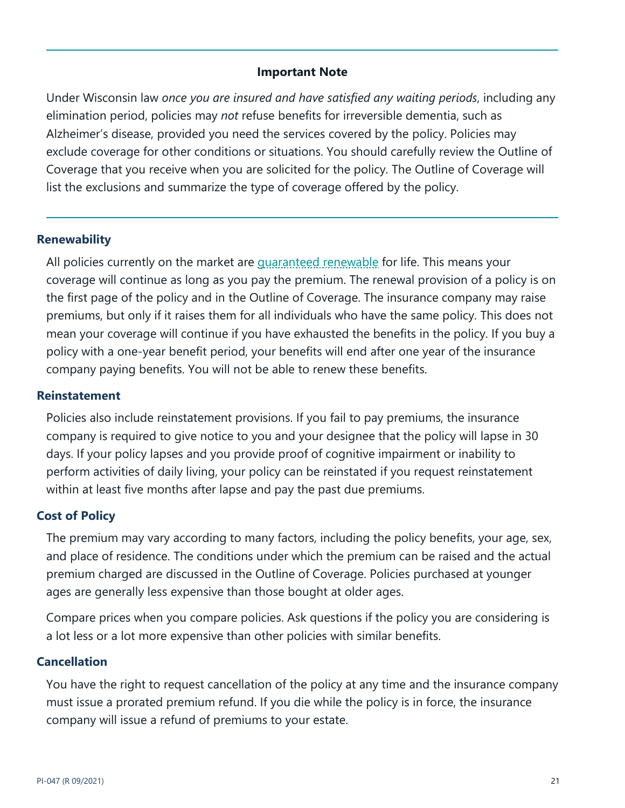#### **Important Note**

Under Wisconsin law *once you are insured and have satisfied any waiting periods*, including any elimination period, policies may *not* refuse benefits for irreversible dementia, such as Alzheimer's disease, provided you need the services covered by the policy. Policies may exclude coverage for other conditions or situations. You should carefully review the Outline of Coverage that you receive when you are solicited for the policy. The Outline of Coverage will list the exclusions and summarize the type of coverage offered by the policy.

#### <span id="page-20-0"></span>**Renewability**

All policies currently on the market are *guaranteed renewable* for life. This means your coverage will continue as long as you pay the premium. The renewal provision of a policy is on the first page of the policy and in the Outline of Coverage. The insurance company may raise premiums, but only if it raises them for all individuals who have the same policy. This does not mean your coverage will continue if you have exhausted the benefits in the policy. If you buy a policy with a one-year benefit period, your benefits will end after one year of the insurance company paying benefits. You will not be able to renew these benefits.

#### <span id="page-20-1"></span>**Reinstatement**

Policies also include reinstatement provisions. If you fail to pay premiums, the insurance company is required to give notice to you and your designee that the policy will lapse in 30 days. If your policy lapses and you provide proof of cognitive impairment or inability to perform activities of daily living, your policy can be reinstated if you request reinstatement within at least five months after lapse and pay the past due premiums.

# <span id="page-20-2"></span>**Cost of Policy**

The premium may vary according to many factors, including the policy benefits, your age, sex, and place of residence. The conditions under which the premium can be raised and the actual premium charged are discussed in the Outline of Coverage. Policies purchased at younger ages are generally less expensive than those bought at older ages.

Compare prices when you compare policies. Ask questions if the policy you are considering is a lot less or a lot more expensive than other policies with similar benefits.

#### <span id="page-20-3"></span>**Cancellation**

You have the right to request cancellation of the policy at any time and the insurance company must issue a prorated premium refund. If you die while the policy is in force, the insurance company will issue a refund of premiums to your estate.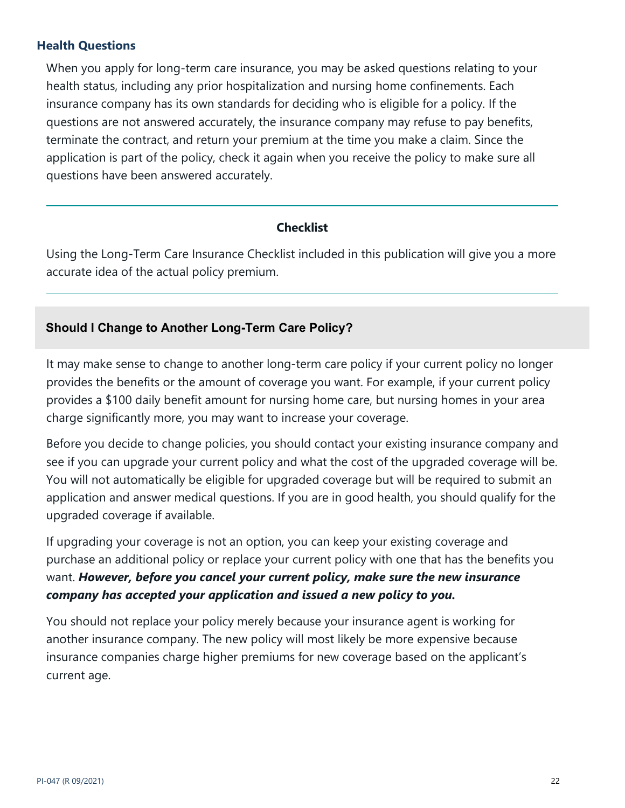# <span id="page-21-0"></span>**Health Questions**

When you apply for long-term care insurance, you may be asked questions relating to your health status, including any prior hospitalization and nursing home confinements. Each insurance company has its own standards for deciding who is eligible for a policy. If the questions are not answered accurately, the insurance company may refuse to pay benefits, terminate the contract, and return your premium at the time you make a claim. Since the application is part of the policy, check it again when you receive the policy to make sure all questions have been answered accurately.

# **Checklist**

Using the Long-Term Care Insurance Checklist included in this publication will give you a more accurate idea of the actual policy premium.

# <span id="page-21-1"></span>**Should I Change to Another Long-Term Care Policy?**

It may make sense to change to another long-term care policy if your current policy no longer provides the benefits or the amount of coverage you want. For example, if your current policy provides a \$100 daily benefit amount for nursing home care, but nursing homes in your area charge significantly more, you may want to increase your coverage.

Before you decide to change policies, you should contact your existing insurance company and see if you can upgrade your current policy and what the cost of the upgraded coverage will be. You will not automatically be eligible for upgraded coverage but will be required to submit an application and answer medical questions. If you are in good health, you should qualify for the upgraded coverage if available.

If upgrading your coverage is not an option, you can keep your existing coverage and purchase an additional policy or replace your current policy with one that has the benefits you want. *However, before you cancel your current policy, make sure the new insurance company has accepted your application and issued a new policy to you.*

You should not replace your policy merely because your insurance agent is working for another insurance company. The new policy will most likely be more expensive because insurance companies charge higher premiums for new coverage based on the applicant's current age.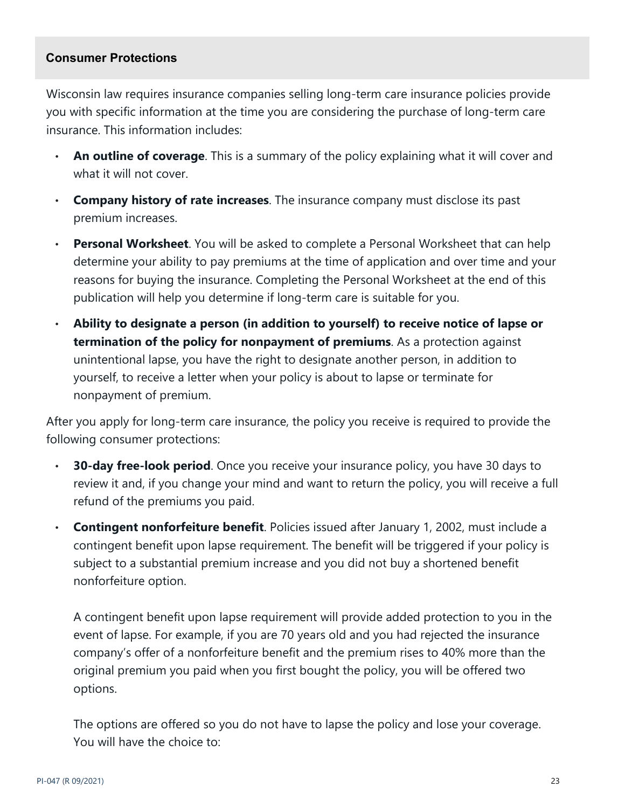#### <span id="page-22-0"></span>**Consumer Protections**

Wisconsin law requires insurance companies selling long-term care insurance policies provide you with specific information at the time you are considering the purchase of long-term care insurance. This information includes:

- **An outline of coverage**. This is a summary of the policy explaining what it will cover and what it will not cover.
- **Company history of rate increases**. The insurance company must disclose its past premium increases.
- **Personal Worksheet**. You will be asked to complete a Personal Worksheet that can help determine your ability to pay premiums at the time of application and over time and your reasons for buying the insurance. Completing the Personal Worksheet at the end of this publication will help you determine if long-term care is suitable for you.
- **Ability to designate a person (in addition to yourself) to receive notice of lapse or termination of the policy for nonpayment of premiums**. As a protection against unintentional lapse, you have the right to designate another person, in addition to yourself, to receive a letter when your policy is about to lapse or terminate for nonpayment of premium.

After you apply for long-term care insurance, the policy you receive is required to provide the following consumer protections:

- **30-day free-look period**. Once you receive your insurance policy, you have 30 days to review it and, if you change your mind and want to return the policy, you will receive a full refund of the premiums you paid.
- **Contingent nonforfeiture benefit**. Policies issued after January 1, 2002, must include a contingent benefit upon lapse requirement. The benefit will be triggered if your policy is subject to a substantial premium increase and you did not buy a shortened benefit nonforfeiture option.

A contingent benefit upon lapse requirement will provide added protection to you in the event of lapse. For example, if you are 70 years old and you had rejected the insurance company's offer of a nonforfeiture benefit and the premium rises to 40% more than the original premium you paid when you first bought the policy, you will be offered two options.

The options are offered so you do not have to lapse the policy and lose your coverage. You will have the choice to: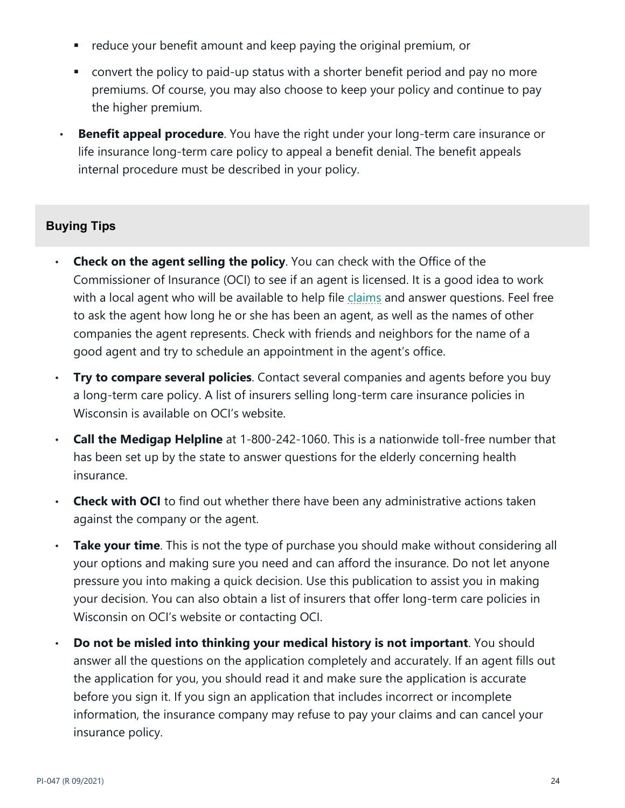- reduce your benefit amount and keep paying the original premium, or
- convert the policy to paid-up status with a shorter benefit period and pay no more premiums. Of course, you may also choose to keep your policy and continue to pay the higher premium.
- **Benefit appeal procedure**. You have the right under your long-term care insurance or life insurance long-term care policy to appeal a benefit denial. The benefit appeals internal procedure must be described in your policy.

# <span id="page-23-0"></span>**Buying Tips**

- **Check on the agent selling the policy**. You can check with the Office of the Commissioner of Insurance (OCI) to see if an agent is licensed. It is a good idea to work with a local agent who will be available to help file [claims](https://oci.wi.gov/Pages/Consumers/Glossary.aspx#claim) and answer questions. Feel free to ask the agent how long he or she has been an agent, as well as the names of other companies the agent represents. Check with friends and neighbors for the name of a good agent and try to schedule an appointment in the agent's office.
- **Try to compare several policies**. Contact several companies and agents before you buy a long-term care policy. A list of insurers selling long-term care insurance policies in Wisconsin is available on OCI's website.
- **Call the Medigap Helpline** at 1-800-242-1060. This is a nationwide toll-free number that has been set up by the state to answer questions for the elderly concerning health insurance.
- **Check with OCI** to find out whether there have been any administrative actions taken against the company or the agent.
- **Take your time**. This is not the type of purchase you should make without considering all your options and making sure you need and can afford the insurance. Do not let anyone pressure you into making a quick decision. Use this publication to assist you in making your decision. You can also obtain a list of insurers that offer long-term care policies in Wisconsin on OCI's website or contacting OCI.
- **Do not be misled into thinking your medical history is not important**. You should answer all the questions on the application completely and accurately. If an agent fills out the application for you, you should read it and make sure the application is accurate before you sign it. If you sign an application that includes incorrect or incomplete information, the insurance company may refuse to pay your claims and can cancel your insurance policy.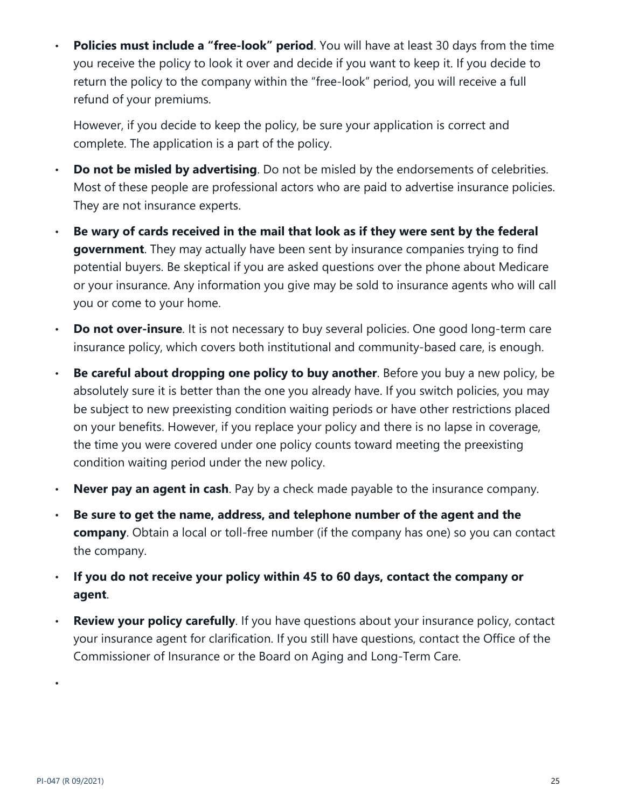**Policies must include a "free-look" period**. You will have at least 30 days from the time you receive the policy to look it over and decide if you want to keep it. If you decide to return the policy to the company within the "free-look" period, you will receive a full refund of your premiums.

However, if you decide to keep the policy, be sure your application is correct and complete. The application is a part of the policy.

- **Do not be misled by advertising**. Do not be misled by the endorsements of celebrities. Most of these people are professional actors who are paid to advertise insurance policies. They are not insurance experts.
- **Be wary of cards received in the mail that look as if they were sent by the federal government**. They may actually have been sent by insurance companies trying to find potential buyers. Be skeptical if you are asked questions over the phone about Medicare or your insurance. Any information you give may be sold to insurance agents who will call you or come to your home.
- **Do not over-insure**. It is not necessary to buy several policies. One good long-term care insurance policy, which covers both institutional and community-based care, is enough.
- **Be careful about dropping one policy to buy another**. Before you buy a new policy, be absolutely sure it is better than the one you already have. If you switch policies, you may be subject to new preexisting condition waiting periods or have other restrictions placed on your benefits. However, if you replace your policy and there is no lapse in coverage, the time you were covered under one policy counts toward meeting the preexisting condition waiting period under the new policy.
- **Never pay an agent in cash**. Pay by a check made payable to the insurance company.
- **Be sure to get the name, address, and telephone number of the agent and the company**. Obtain a local or toll-free number (if the company has one) so you can contact the company.
- **If you do not receive your policy within 45 to 60 days, contact the company or agent**.
- **Review your policy carefully**. If you have questions about your insurance policy, contact your insurance agent for clarification. If you still have questions, contact the Office of the Commissioner of Insurance or the Board on Aging and Long-Term Care.

•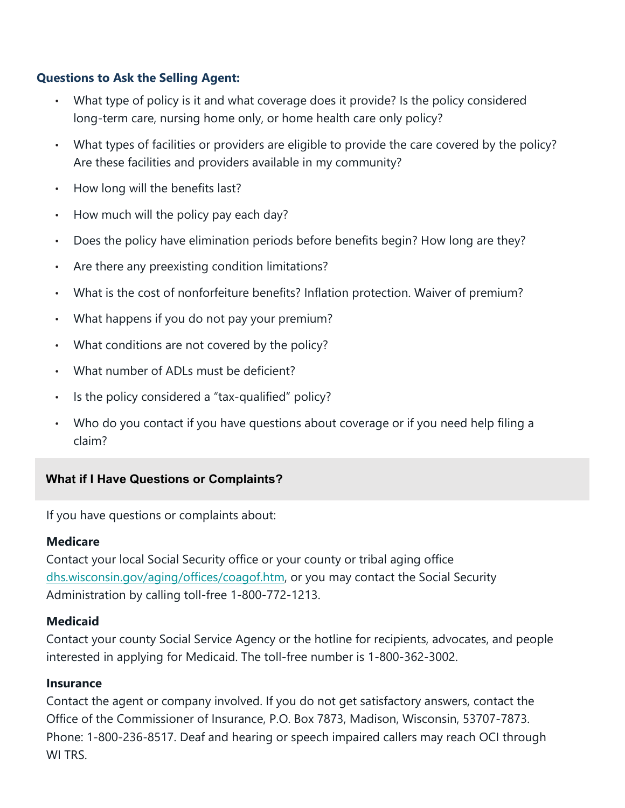# <span id="page-25-0"></span>**Questions to Ask the Selling Agent:**

- What type of policy is it and what coverage does it provide? Is the policy considered long-term care, nursing home only, or home health care only policy?
- What types of facilities or providers are eligible to provide the care covered by the policy? Are these facilities and providers available in my community?
- How long will the benefits last?
- How much will the policy pay each day?
- Does the policy have elimination periods before benefits begin? How long are they?
- Are there any preexisting condition limitations?
- What is the cost of nonforfeiture benefits? Inflation protection. Waiver of premium?
- What happens if you do not pay your premium?
- What conditions are not covered by the policy?
- What number of ADLs must be deficient?
- Is the policy considered a "tax-qualified" policy?
- Who do you contact if you have questions about coverage or if you need help filing a claim?

# <span id="page-25-1"></span>**What if I Have Questions or Complaints?**

If you have questions or complaints about:

# **Medicare**

Contact your local Social Security office or your county or tribal aging office [dhs.wisconsin.gov/aging/offices/coagof.htm,](https://www.dhs.wisconsin.gov/aging/offices/coagof.htm) or you may contact the Social Security Administration by calling toll-free 1-800-772-1213.

# **Medicaid**

Contact your county Social Service Agency or the hotline for recipients, advocates, and people interested in applying for Medicaid. The toll-free number is 1-800-362-3002.

#### **Insurance**

Contact the agent or company involved. If you do not get satisfactory answers, contact the Office of the Commissioner of Insurance, P.O. Box 7873, Madison, Wisconsin, 53707-7873. Phone: 1-800-236-8517. Deaf and hearing or speech impaired callers may reach OCI through WI TRS.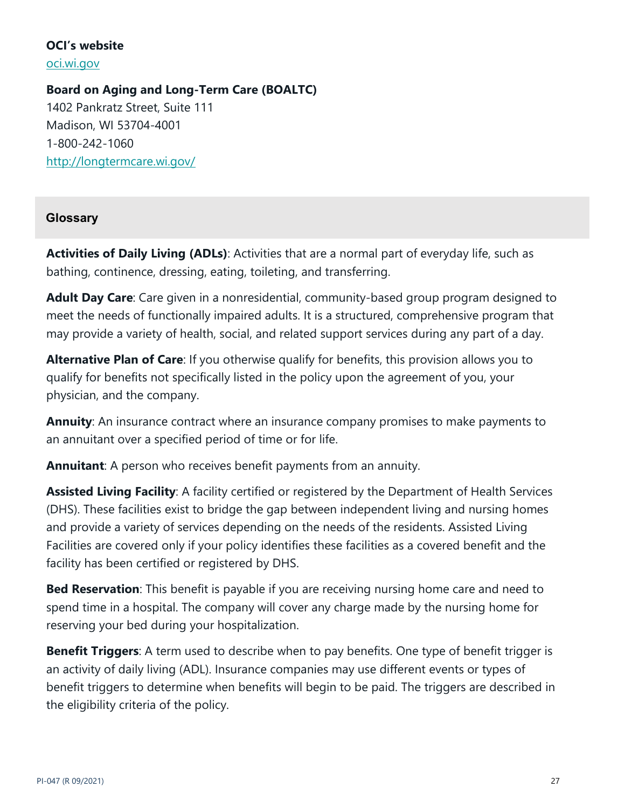# **OCI's website**

[oci.wi.gov](http://www.oci.wi.gov/)

**Board on Aging and Long-Term Care (BOALTC)** 1402 Pankratz Street, Suite 111 Madison, WI 53704-4001 1-800-242-1060 <http://longtermcare.wi.gov/>

# <span id="page-26-0"></span>**Glossary**

**Activities of Daily Living (ADLs)**: Activities that are a normal part of everyday life, such as bathing, continence, dressing, eating, toileting, and transferring.

**Adult Day Care**: Care given in a nonresidential, community-based group program designed to meet the needs of functionally impaired adults. It is a structured, comprehensive program that may provide a variety of health, social, and related support services during any part of a day.

**Alternative Plan of Care**: If you otherwise qualify for benefits, this provision allows you to qualify for benefits not specifically listed in the policy upon the agreement of you, your physician, and the company.

**Annuity**: An insurance contract where an insurance company promises to make payments to an annuitant over a specified period of time or for life.

**Annuitant**: A person who receives benefit payments from an annuity.

**Assisted Living Facility**: A facility certified or registered by the Department of Health Services (DHS). These facilities exist to bridge the gap between independent living and nursing homes and provide a variety of services depending on the needs of the residents. Assisted Living Facilities are covered only if your policy identifies these facilities as a covered benefit and the facility has been certified or registered by DHS.

**Bed Reservation**: This benefit is payable if you are receiving nursing home care and need to spend time in a hospital. The company will cover any charge made by the nursing home for reserving your bed during your hospitalization.

**Benefit Triggers**: A term used to describe when to pay benefits. One type of benefit trigger is an activity of daily living (ADL). Insurance companies may use different events or types of benefit triggers to determine when benefits will begin to be paid. The triggers are described in the eligibility criteria of the policy.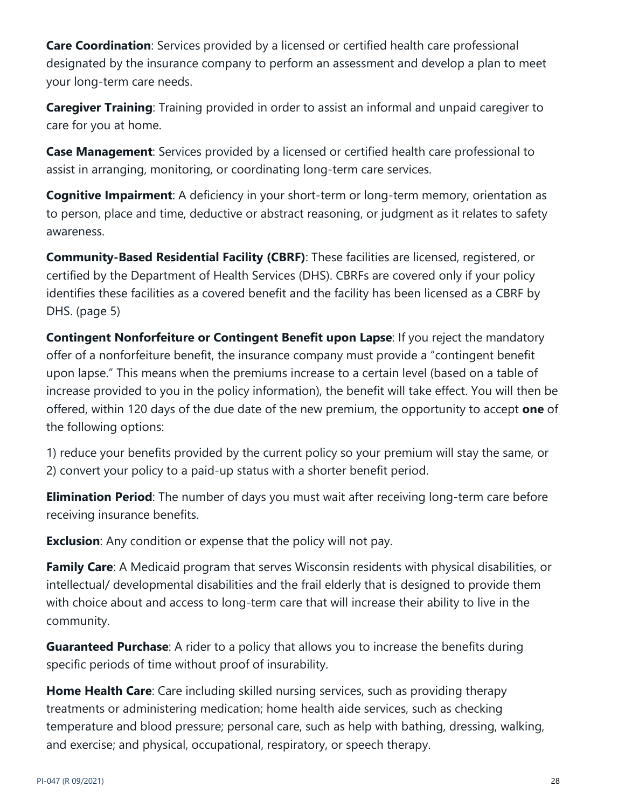**Care Coordination**: Services provided by a licensed or certified health care professional designated by the insurance company to perform an assessment and develop a plan to meet your long-term care needs.

**Caregiver Training**: Training provided in order to assist an informal and unpaid caregiver to care for you at home.

**Case Management**: Services provided by a licensed or certified health care professional to assist in arranging, monitoring, or coordinating long-term care services.

**Cognitive Impairment**: A deficiency in your short-term or long-term memory, orientation as to person, place and time, deductive or abstract reasoning, or judgment as it relates to safety awareness.

**Community-Based Residential Facility (CBRF)**: These facilities are licensed, registered, or certified by the Department of Health Services (DHS). CBRFs are covered only if your policy identifies these facilities as a covered benefit and the facility has been licensed as a CBRF by DHS. (page 5)

**Contingent Nonforfeiture or Contingent Benefit upon Lapse:** If you reject the mandatory offer of a nonforfeiture benefit, the insurance company must provide a "contingent benefit upon lapse." This means when the premiums increase to a certain level (based on a table of increase provided to you in the policy information), the benefit will take effect. You will then be offered, within 120 days of the due date of the new premium, the opportunity to accept **one** of the following options:

1) reduce your benefits provided by the current policy so your premium will stay the same, or 2) convert your policy to a paid-up status with a shorter benefit period.

**Elimination Period**: The number of days you must wait after receiving long-term care before receiving insurance benefits.

**Exclusion:** Any condition or expense that the policy will not pay.

**Family Care**: A Medicaid program that serves Wisconsin residents with physical disabilities, or intellectual/ developmental disabilities and the frail elderly that is designed to provide them with choice about and access to long-term care that will increase their ability to live in the community.

**Guaranteed Purchase**: A rider to a policy that allows you to increase the benefits during specific periods of time without proof of insurability.

**Home Health Care**: Care including skilled nursing services, such as providing therapy treatments or administering medication; home health aide services, such as checking temperature and blood pressure; personal care, such as help with bathing, dressing, walking, and exercise; and physical, occupational, respiratory, or speech therapy.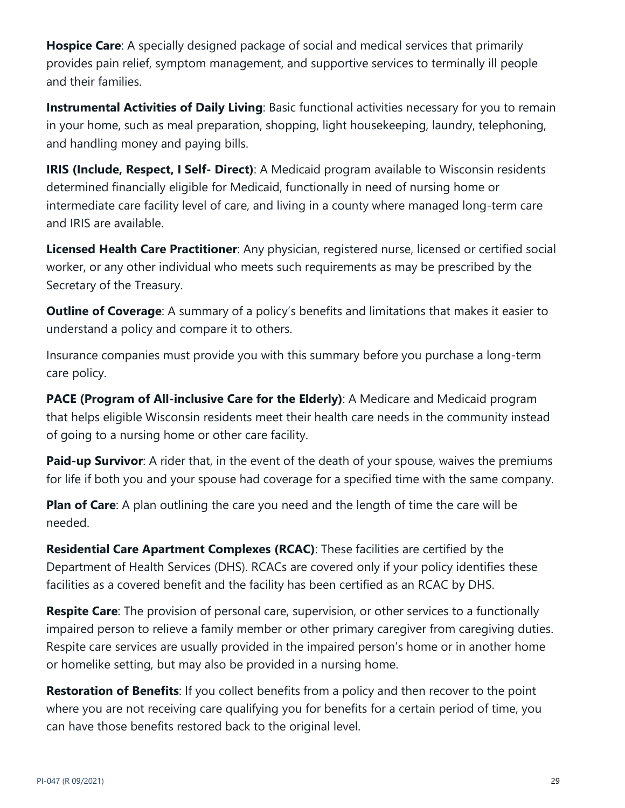**Hospice Care**: A specially designed package of social and medical services that primarily provides pain relief, symptom management, and supportive services to terminally ill people and their families.

**Instrumental Activities of Daily Living**: Basic functional activities necessary for you to remain in your home, such as meal preparation, shopping, light housekeeping, laundry, telephoning, and handling money and paying bills.

**IRIS (Include, Respect, I Self- Direct)**: A Medicaid program available to Wisconsin residents determined financially eligible for Medicaid, functionally in need of nursing home or intermediate care facility level of care, and living in a county where managed long-term care and IRIS are available.

**Licensed Health Care Practitioner**: Any physician, registered nurse, licensed or certified social worker, or any other individual who meets such requirements as may be prescribed by the Secretary of the Treasury.

**Outline of Coverage**: A summary of a policy's benefits and limitations that makes it easier to understand a policy and compare it to others.

Insurance companies must provide you with this summary before you purchase a long-term care policy.

**PACE (Program of All-inclusive Care for the Elderly)**: A Medicare and Medicaid program that helps eligible Wisconsin residents meet their health care needs in the community instead of going to a nursing home or other care facility.

**Paid-up Survivor**: A rider that, in the event of the death of your spouse, waives the premiums for life if both you and your spouse had coverage for a specified time with the same company.

**Plan of Care**: A plan outlining the care you need and the length of time the care will be needed.

**Residential Care Apartment Complexes (RCAC)**: These facilities are certified by the Department of Health Services (DHS). RCACs are covered only if your policy identifies these facilities as a covered benefit and the facility has been certified as an RCAC by DHS.

**Respite Care**: The provision of personal care, supervision, or other services to a functionally impaired person to relieve a family member or other primary caregiver from caregiving duties. Respite care services are usually provided in the impaired person's home or in another home or homelike setting, but may also be provided in a nursing home.

**Restoration of Benefits**: If you collect benefits from a policy and then recover to the point where you are not receiving care qualifying you for benefits for a certain period of time, you can have those benefits restored back to the original level.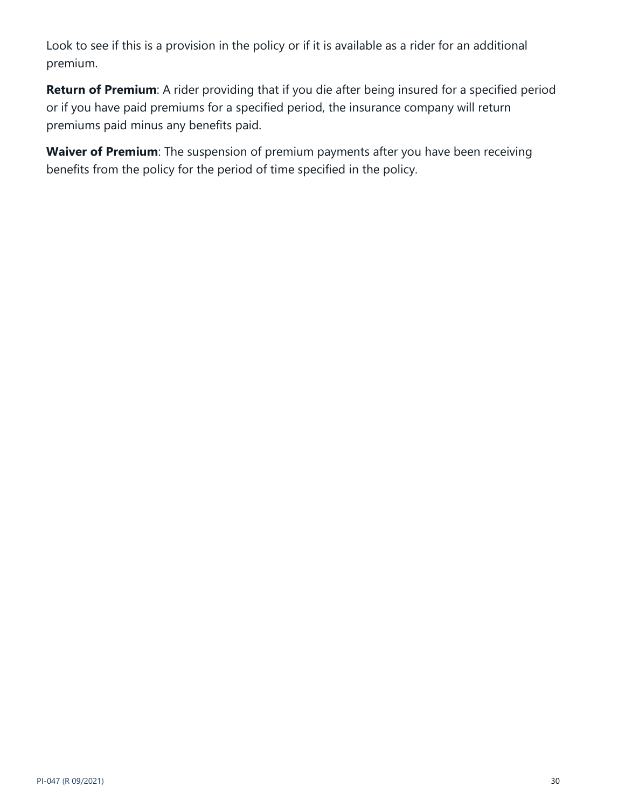Look to see if this is a provision in the policy or if it is available as a rider for an additional premium.

**Return of Premium**: A rider providing that if you die after being insured for a specified period or if you have paid premiums for a specified period, the insurance company will return premiums paid minus any benefits paid.

**Waiver of Premium**: The suspension of premium payments after you have been receiving benefits from the policy for the period of time specified in the policy.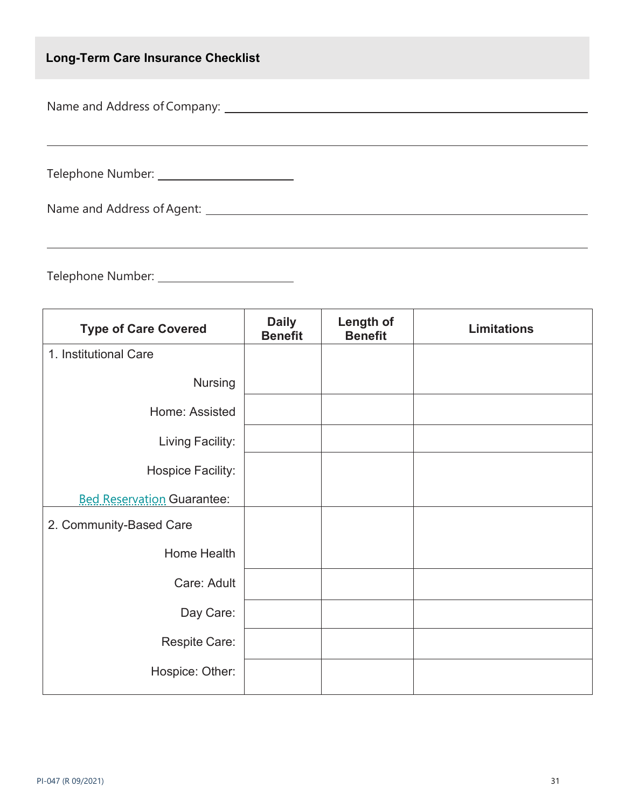# <span id="page-30-0"></span>**Long-Term Care Insurance Checklist**

Name and Address of Company:

Telephone Number:

|  | Name and Address of Agent: |
|--|----------------------------|
|  |                            |

Telephone Number:

| <b>Type of Care Covered</b>       | <b>Daily</b><br><b>Benefit</b> | Length of<br><b>Benefit</b> | <b>Limitations</b> |
|-----------------------------------|--------------------------------|-----------------------------|--------------------|
| 1. Institutional Care             |                                |                             |                    |
| <b>Nursing</b>                    |                                |                             |                    |
| Home: Assisted                    |                                |                             |                    |
| Living Facility:                  |                                |                             |                    |
| Hospice Facility:                 |                                |                             |                    |
| <b>Bed Reservation Guarantee:</b> |                                |                             |                    |
| 2. Community-Based Care           |                                |                             |                    |
| Home Health                       |                                |                             |                    |
| Care: Adult                       |                                |                             |                    |
| Day Care:                         |                                |                             |                    |
| Respite Care:                     |                                |                             |                    |
| Hospice: Other:                   |                                |                             |                    |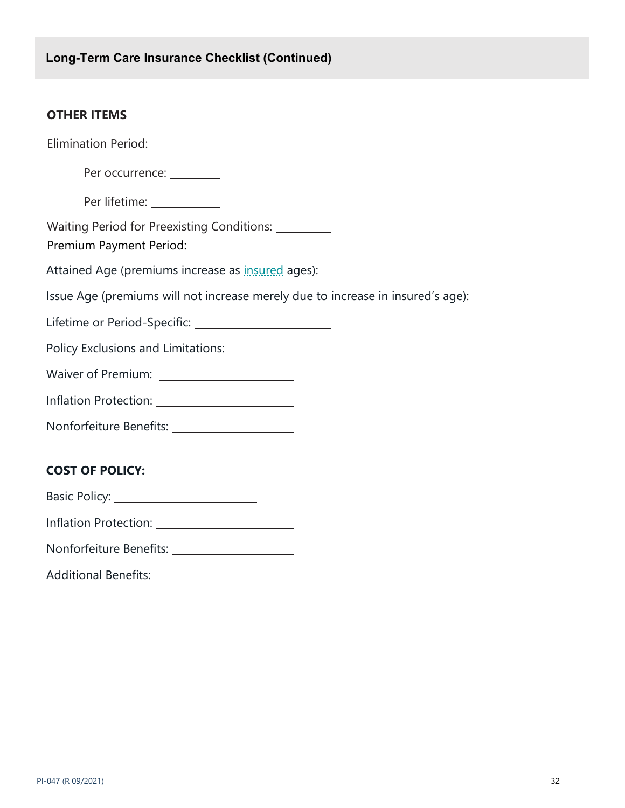# **OTHER ITEMS**

| <b>Elimination Period:</b>                                                                   |
|----------------------------------------------------------------------------------------------|
| Per occurrence: _________                                                                    |
| Per lifetime: ____________                                                                   |
| Waiting Period for Preexisting Conditions: _________<br>Premium Payment Period:              |
| Attained Age (premiums increase as <b>insured</b> ages): _____________________________       |
| Issue Age (premiums will not increase merely due to increase in insured's age): ____________ |
| Lifetime or Period-Specific: _________________________                                       |
|                                                                                              |
|                                                                                              |
|                                                                                              |
| Nonforfeiture Benefits: ______________________                                               |
|                                                                                              |
| <b>COST OF POLICY:</b>                                                                       |
|                                                                                              |
| Inflation Protection: ________________________                                               |
| Nonforfeiture Benefits: ______________________                                               |
| Additional Benefits: _________________________                                               |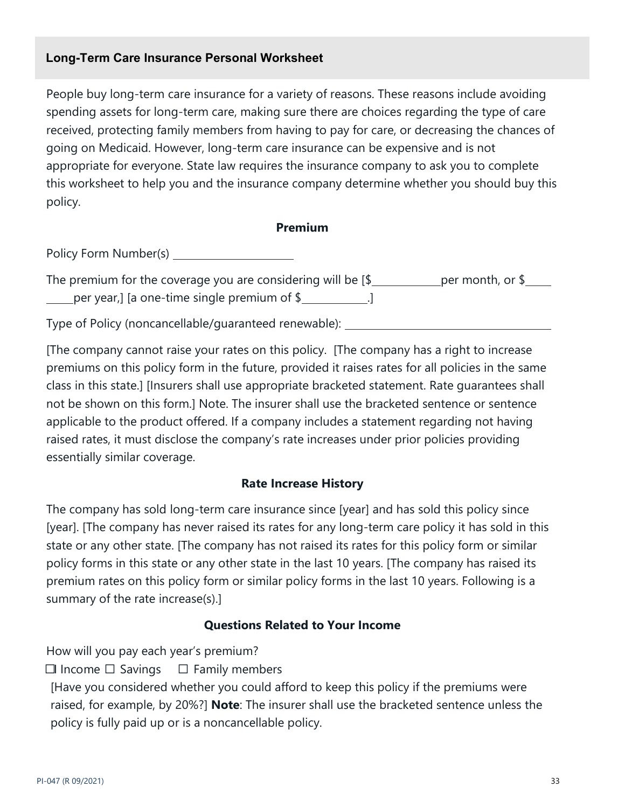# <span id="page-32-0"></span>**Long-Term Care Insurance Personal Worksheet**

People buy long-term care insurance for a variety of reasons. These reasons include avoiding spending assets for long-term care, making sure there are choices regarding the type of care received, protecting family members from having to pay for care, or decreasing the chances of going on Medicaid. However, long-term care insurance can be expensive and is not appropriate for everyone. State law requires the insurance company to ask you to complete this worksheet to help you and the insurance company determine whether you should buy this policy.

#### **Premium**

Policy Form Number(s)

The premium for the coverage you are considering will be  $[\frac{1}{2}]$  per month, or  $\frac{1}{2}$  $\_$  per year,] [a one-time single premium of  $\frac{1}{2}$  ...  $\frac{1}{2}$ 

Type of Policy (noncancellable/guaranteed renewable):

[The company cannot raise your rates on this policy. [The company has a right to increase premiums on this policy form in the future, provided it raises rates for all policies in the same class in this state.] [Insurers shall use appropriate bracketed statement. Rate guarantees shall not be shown on this form.] Note. The insurer shall use the bracketed sentence or sentence applicable to the product offered. If a company includes a statement regarding not having raised rates, it must disclose the company's rate increases under prior policies providing essentially similar coverage.

#### **Rate Increase History**

The company has sold long-term care insurance since [year] and has sold this policy since [year]. [The company has never raised its rates for any long-term care policy it has sold in this state or any other state. [The company has not raised its rates for this policy form or similar policy forms in this state or any other state in the last 10 years. [The company has raised its premium rates on this policy form or similar policy forms in the last 10 years. Following is a summary of the rate increase(s).]

#### **Questions Related to Your Income**

How will you pay each year's premium?

 $\Box$  Income  $\Box$  Savings  $\Box$  Family members

[Have you considered whether you could afford to keep this policy if the premiums were raised, for example, by 20%?] **Note**: The insurer shall use the bracketed sentence unless the policy is fully paid up or is a noncancellable policy.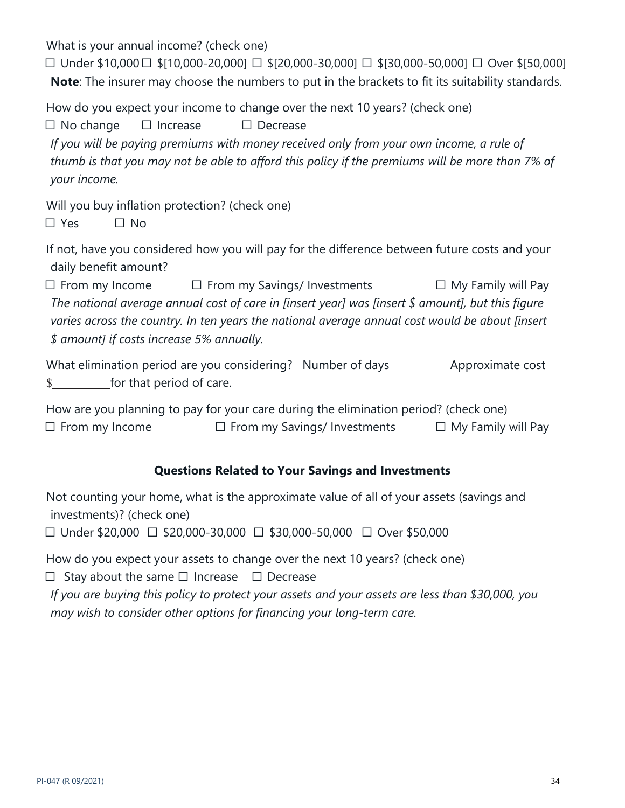What is your annual income? (check one)

 $\Box$  Under \$10,000  $\Box$  \$[10,000-20,000]  $\Box$  \$[20,000-30,000]  $\Box$  \$[30,000-50,000]  $\Box$  Over \$[50,000] **Note**: The insurer may choose the numbers to put in the brackets to fit its suitability standards.

How do you expect your income to change over the next 10 years? (check one)

 $\Box$  No change  $\Box$  Increase  $\Box$  Decrease

*If you will be paying premiums with money received only from your own income, a rule of thumb is that you may not be able to afford this policy if the premiums will be more than 7% of your income.*

Will you buy inflation protection? (check one)

 $\square$  Yes  $\square$  No

If not, have you considered how you will pay for the difference between future costs and your daily benefit amount?

 $\Box$  From my Income  $\Box$  From my Savings/ Investments  $\Box$  My Family will Pay *The national average annual cost of care in [insert year] was [insert \$ amount], but this figure varies across the country. In ten years the national average annual cost would be about [insert \$ amount] if costs increase 5% annually.*

What elimination period are you considering? Number of days \_\_\_\_\_\_\_\_\_ Approximate cost \$ for that period of care.

How are you planning to pay for your care during the elimination period? (check one)  $\Box$  From my Income  $\Box$  From my Savings/ Investments  $\Box$  My Family will Pay

# **Questions Related to Your Savings and Investments**

Not counting your home, what is the approximate value of all of your assets (savings and investments)? (check one)

 $\Box$  Under \$20,000  $\Box$  \$20,000-30,000  $\Box$  \$30,000-50,000  $\Box$  Over \$50,000

How do you expect your assets to change over the next 10 years? (check one)

 $\Box$  Stay about the same  $\Box$  Increase  $\Box$  Decrease

*If you are buying this policy to protect your assets and your assets are less than \$30,000, you may wish to consider other options for financing your long-term care.*